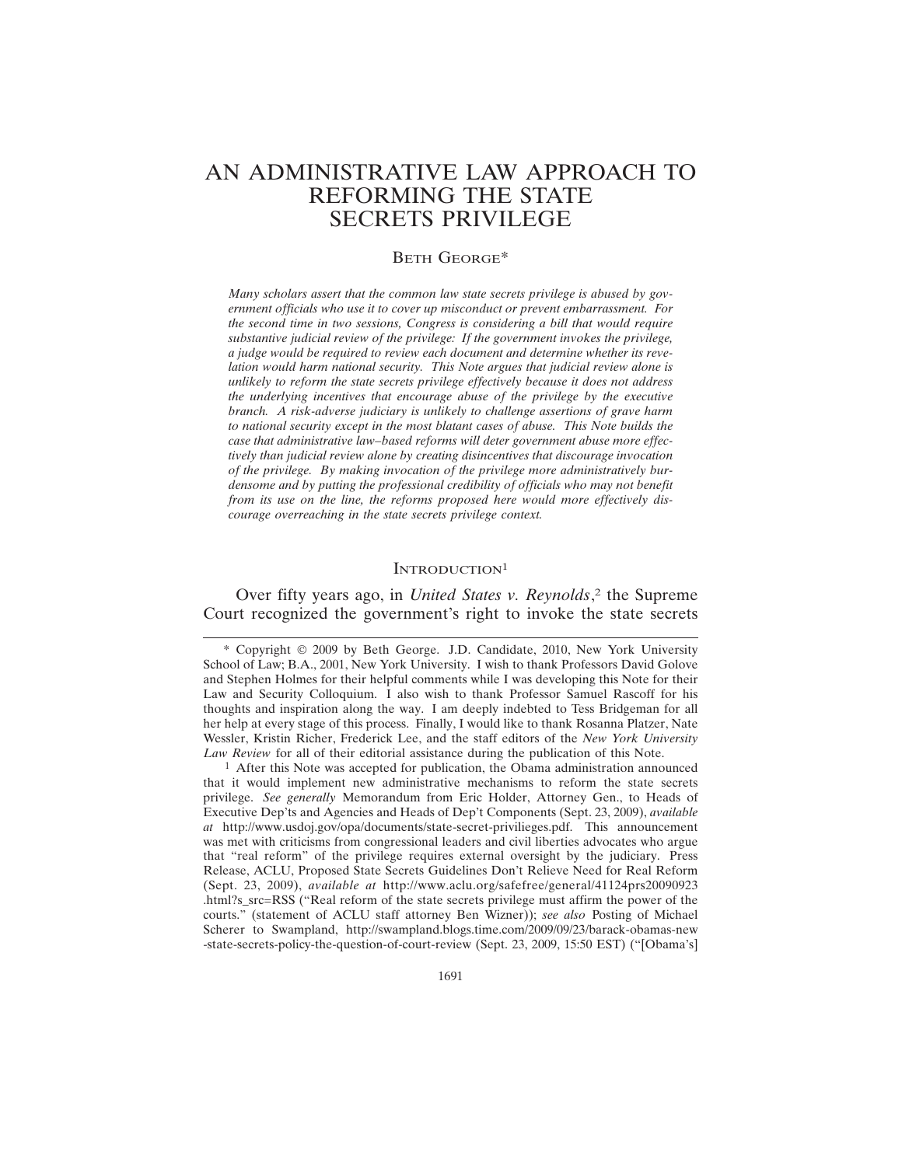# AN ADMINISTRATIVE LAW APPROACH TO REFORMING THE STATE SECRETS PRIVILEGE

#### BETH GEORGE\*

*Many scholars assert that the common law state secrets privilege is abused by government officials who use it to cover up misconduct or prevent embarrassment. For the second time in two sessions, Congress is considering a bill that would require substantive judicial review of the privilege: If the government invokes the privilege, a judge would be required to review each document and determine whether its revelation would harm national security. This Note argues that judicial review alone is unlikely to reform the state secrets privilege effectively because it does not address the underlying incentives that encourage abuse of the privilege by the executive branch. A risk-adverse judiciary is unlikely to challenge assertions of grave harm to national security except in the most blatant cases of abuse. This Note builds the case that administrative law–based reforms will deter government abuse more effectively than judicial review alone by creating disincentives that discourage invocation of the privilege. By making invocation of the privilege more administratively burdensome and by putting the professional credibility of officials who may not benefit from its use on the line, the reforms proposed here would more effectively discourage overreaching in the state secrets privilege context.*

### INTRODUCTION<sup>1</sup>

Over fifty years ago, in *United States v. Reynolds*, 2 the Supreme Court recognized the government's right to invoke the state secrets

<sup>1</sup> After this Note was accepted for publication, the Obama administration announced that it would implement new administrative mechanisms to reform the state secrets privilege. *See generally* Memorandum from Eric Holder, Attorney Gen., to Heads of Executive Dep'ts and Agencies and Heads of Dep't Components (Sept. 23, 2009), *available at* http://www.usdoj.gov/opa/documents/state-secret-privilieges.pdf. This announcement was met with criticisms from congressional leaders and civil liberties advocates who argue that "real reform" of the privilege requires external oversight by the judiciary. Press Release, ACLU, Proposed State Secrets Guidelines Don't Relieve Need for Real Reform (Sept. 23, 2009), *available at* http://www.aclu.org/safefree/general/41124prs20090923 .html?s\_src=RSS ("Real reform of the state secrets privilege must affirm the power of the courts." (statement of ACLU staff attorney Ben Wizner)); *see also* Posting of Michael Scherer to Swampland, http://swampland.blogs.time.com/2009/09/23/barack-obamas-new -state-secrets-policy-the-question-of-court-review (Sept. 23, 2009, 15:50 EST) ("[Obama's]

<sup>\*</sup> Copyright © 2009 by Beth George. J.D. Candidate, 2010, New York University School of Law; B.A., 2001, New York University. I wish to thank Professors David Golove and Stephen Holmes for their helpful comments while I was developing this Note for their Law and Security Colloquium. I also wish to thank Professor Samuel Rascoff for his thoughts and inspiration along the way. I am deeply indebted to Tess Bridgeman for all her help at every stage of this process. Finally, I would like to thank Rosanna Platzer, Nate Wessler, Kristin Richer, Frederick Lee, and the staff editors of the *New York University Law Review* for all of their editorial assistance during the publication of this Note.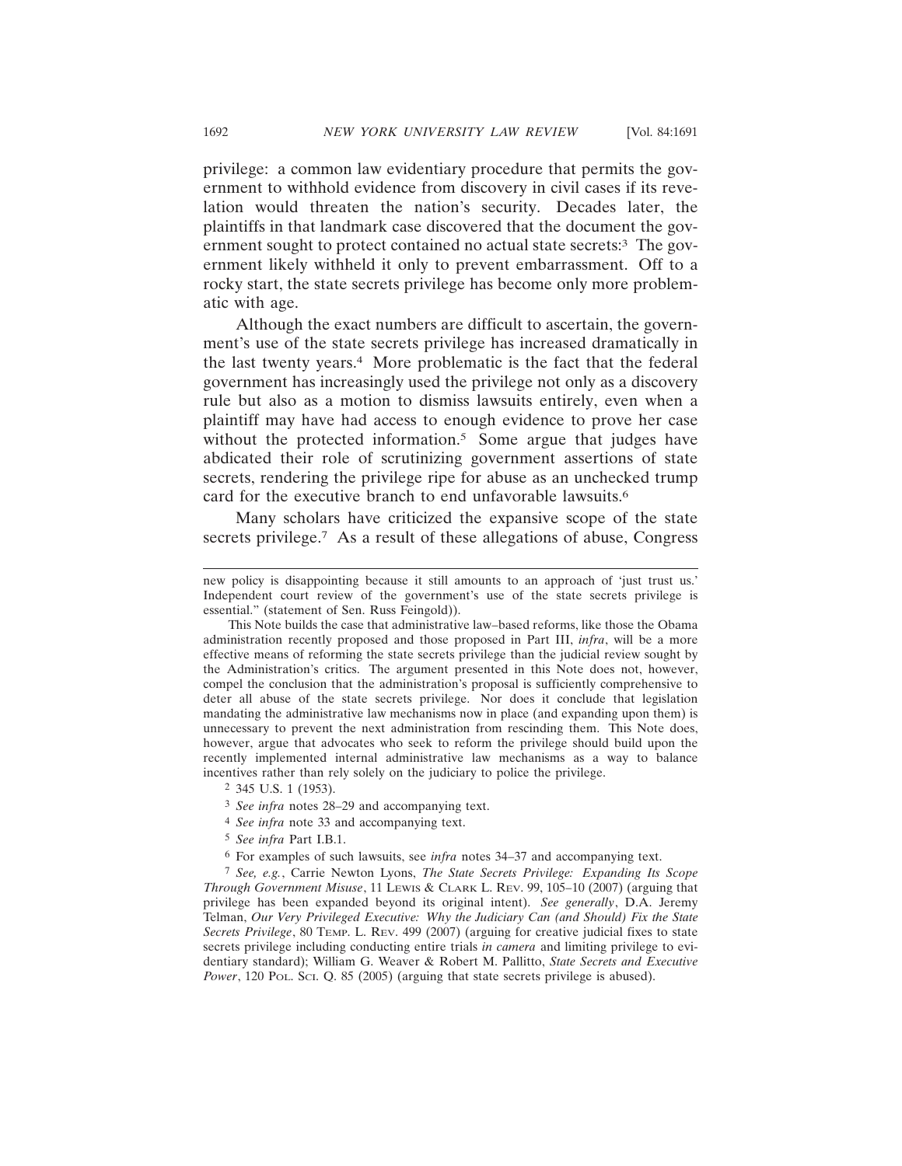privilege: a common law evidentiary procedure that permits the government to withhold evidence from discovery in civil cases if its revelation would threaten the nation's security. Decades later, the plaintiffs in that landmark case discovered that the document the government sought to protect contained no actual state secrets:3 The government likely withheld it only to prevent embarrassment. Off to a rocky start, the state secrets privilege has become only more problematic with age.

Although the exact numbers are difficult to ascertain, the government's use of the state secrets privilege has increased dramatically in the last twenty years.4 More problematic is the fact that the federal government has increasingly used the privilege not only as a discovery rule but also as a motion to dismiss lawsuits entirely, even when a plaintiff may have had access to enough evidence to prove her case without the protected information.<sup>5</sup> Some argue that judges have abdicated their role of scrutinizing government assertions of state secrets, rendering the privilege ripe for abuse as an unchecked trump card for the executive branch to end unfavorable lawsuits.6

Many scholars have criticized the expansive scope of the state secrets privilege.<sup>7</sup> As a result of these allegations of abuse, Congress

- 3 *See infra* notes 28–29 and accompanying text.
- 4 *See infra* note 33 and accompanying text.
- 5 *See infra* Part I.B.1.
- 6 For examples of such lawsuits, see *infra* notes 34–37 and accompanying text.

7 *See, e.g.*, Carrie Newton Lyons, *The State Secrets Privilege: Expanding Its Scope Through Government Misuse*, 11 LEWIS & CLARK L. REV. 99, 105–10 (2007) (arguing that privilege has been expanded beyond its original intent). *See generally*, D.A. Jeremy Telman, *Our Very Privileged Executive: Why the Judiciary Can (and Should) Fix the State Secrets Privilege*, 80 TEMP. L. REV. 499 (2007) (arguing for creative judicial fixes to state secrets privilege including conducting entire trials *in camera* and limiting privilege to evidentiary standard); William G. Weaver & Robert M. Pallitto, *State Secrets and Executive Power*, 120 Pol. Sci. Q. 85 (2005) (arguing that state secrets privilege is abused).

new policy is disappointing because it still amounts to an approach of 'just trust us.' Independent court review of the government's use of the state secrets privilege is essential." (statement of Sen. Russ Feingold)).

This Note builds the case that administrative law–based reforms, like those the Obama administration recently proposed and those proposed in Part III, *infra*, will be a more effective means of reforming the state secrets privilege than the judicial review sought by the Administration's critics. The argument presented in this Note does not, however, compel the conclusion that the administration's proposal is sufficiently comprehensive to deter all abuse of the state secrets privilege. Nor does it conclude that legislation mandating the administrative law mechanisms now in place (and expanding upon them) is unnecessary to prevent the next administration from rescinding them. This Note does, however, argue that advocates who seek to reform the privilege should build upon the recently implemented internal administrative law mechanisms as a way to balance incentives rather than rely solely on the judiciary to police the privilege.

<sup>2</sup> 345 U.S. 1 (1953).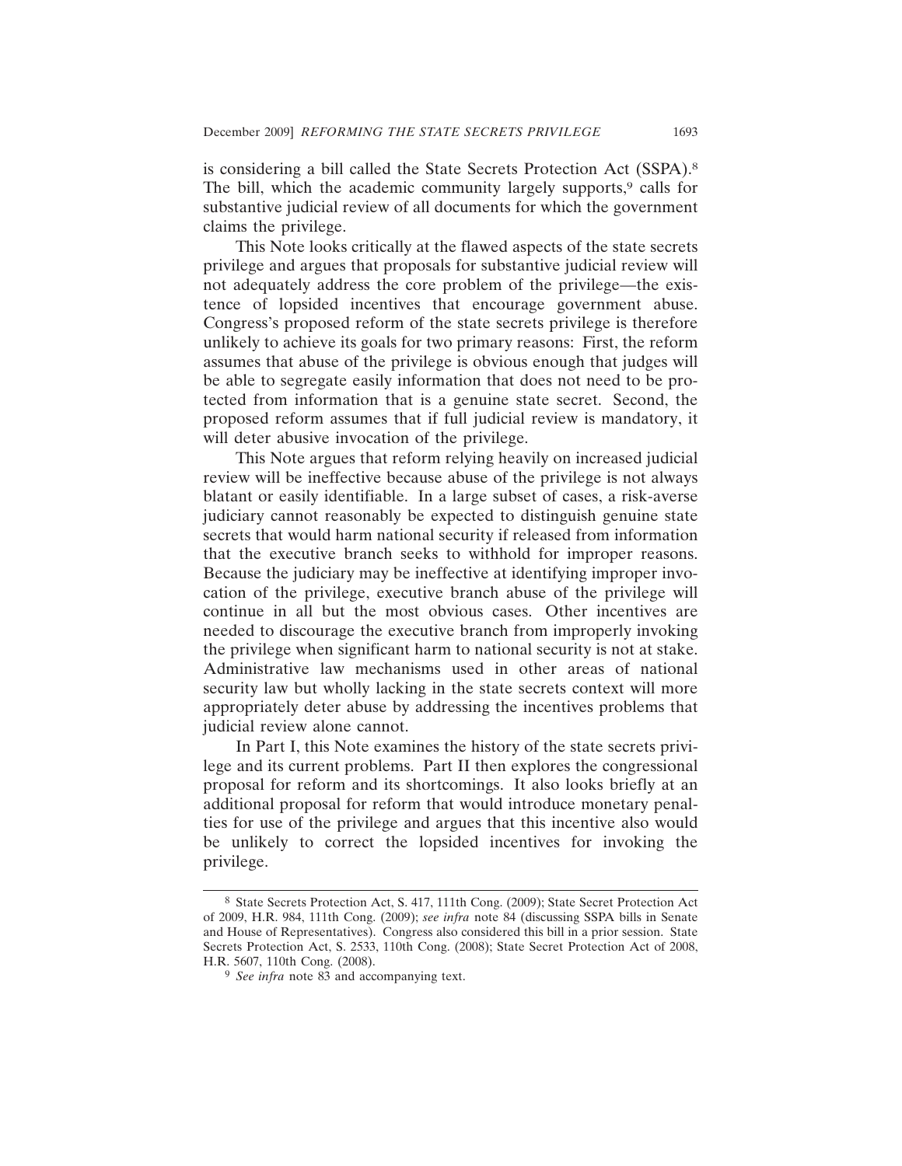is considering a bill called the State Secrets Protection Act (SSPA).8 The bill, which the academic community largely supports,<sup>9</sup> calls for substantive judicial review of all documents for which the government claims the privilege.

This Note looks critically at the flawed aspects of the state secrets privilege and argues that proposals for substantive judicial review will not adequately address the core problem of the privilege—the existence of lopsided incentives that encourage government abuse. Congress's proposed reform of the state secrets privilege is therefore unlikely to achieve its goals for two primary reasons: First, the reform assumes that abuse of the privilege is obvious enough that judges will be able to segregate easily information that does not need to be protected from information that is a genuine state secret. Second, the proposed reform assumes that if full judicial review is mandatory, it will deter abusive invocation of the privilege.

This Note argues that reform relying heavily on increased judicial review will be ineffective because abuse of the privilege is not always blatant or easily identifiable. In a large subset of cases, a risk-averse judiciary cannot reasonably be expected to distinguish genuine state secrets that would harm national security if released from information that the executive branch seeks to withhold for improper reasons. Because the judiciary may be ineffective at identifying improper invocation of the privilege, executive branch abuse of the privilege will continue in all but the most obvious cases. Other incentives are needed to discourage the executive branch from improperly invoking the privilege when significant harm to national security is not at stake. Administrative law mechanisms used in other areas of national security law but wholly lacking in the state secrets context will more appropriately deter abuse by addressing the incentives problems that judicial review alone cannot.

In Part I, this Note examines the history of the state secrets privilege and its current problems. Part II then explores the congressional proposal for reform and its shortcomings. It also looks briefly at an additional proposal for reform that would introduce monetary penalties for use of the privilege and argues that this incentive also would be unlikely to correct the lopsided incentives for invoking the privilege.

<sup>8</sup> State Secrets Protection Act, S. 417, 111th Cong. (2009); State Secret Protection Act of 2009, H.R. 984, 111th Cong. (2009); *see infra* note 84 (discussing SSPA bills in Senate and House of Representatives). Congress also considered this bill in a prior session. State Secrets Protection Act, S. 2533, 110th Cong. (2008); State Secret Protection Act of 2008, H.R. 5607, 110th Cong. (2008).

<sup>9</sup> *See infra* note 83 and accompanying text.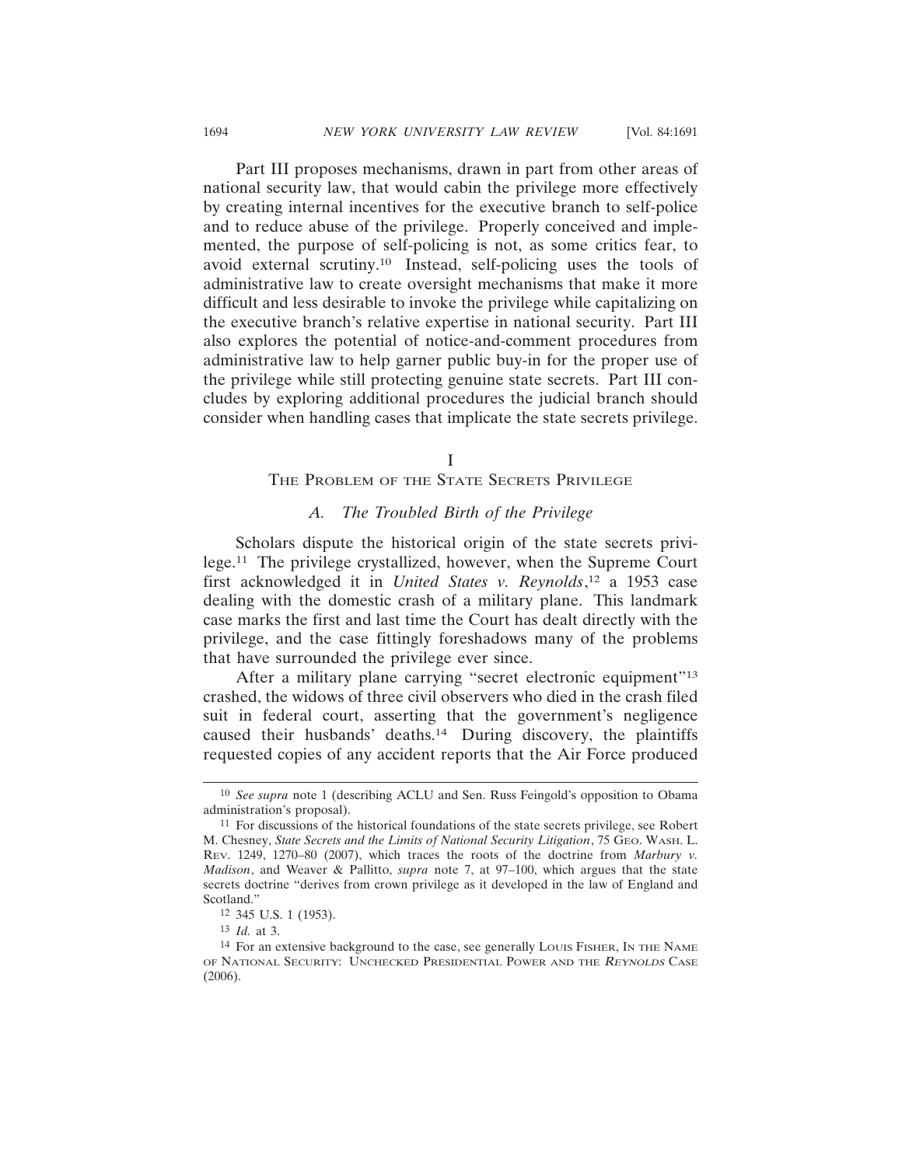Part III proposes mechanisms, drawn in part from other areas of national security law, that would cabin the privilege more effectively by creating internal incentives for the executive branch to self-police and to reduce abuse of the privilege. Properly conceived and implemented, the purpose of self-policing is not, as some critics fear, to avoid external scrutiny.10 Instead, self-policing uses the tools of administrative law to create oversight mechanisms that make it more difficult and less desirable to invoke the privilege while capitalizing on the executive branch's relative expertise in national security. Part III also explores the potential of notice-and-comment procedures from administrative law to help garner public buy-in for the proper use of the privilege while still protecting genuine state secrets. Part III concludes by exploring additional procedures the judicial branch should consider when handling cases that implicate the state secrets privilege.

I

#### THE PROBLEM OF THE STATE SECRETS PRIVILEGE

# *A. The Troubled Birth of the Privilege*

Scholars dispute the historical origin of the state secrets privilege.11 The privilege crystallized, however, when the Supreme Court first acknowledged it in *United States v. Reynolds*, 12 a 1953 case dealing with the domestic crash of a military plane. This landmark case marks the first and last time the Court has dealt directly with the privilege, and the case fittingly foreshadows many of the problems that have surrounded the privilege ever since.

After a military plane carrying "secret electronic equipment"13 crashed, the widows of three civil observers who died in the crash filed suit in federal court, asserting that the government's negligence caused their husbands' deaths.14 During discovery, the plaintiffs requested copies of any accident reports that the Air Force produced

<sup>10</sup> *See supra* note 1 (describing ACLU and Sen. Russ Feingold's opposition to Obama administration's proposal).

<sup>11</sup> For discussions of the historical foundations of the state secrets privilege, see Robert M. Chesney, *State Secrets and the Limits of National Security Litigation*, 75 GEO. WASH. L. REV. 1249, 1270–80 (2007), which traces the roots of the doctrine from *Marbury v. Madison*, and Weaver & Pallitto, *supra* note 7, at 97–100, which argues that the state secrets doctrine "derives from crown privilege as it developed in the law of England and Scotland."

<sup>12</sup> 345 U.S. 1 (1953).

<sup>13</sup> *Id.* at 3.

<sup>&</sup>lt;sup>14</sup> For an extensive background to the case, see generally Louis Fisher, In The NAME OF NATIONAL SECURITY: UNCHECKED PRESIDENTIAL POWER AND THE REYNOLDS CASE  $(2006)$ .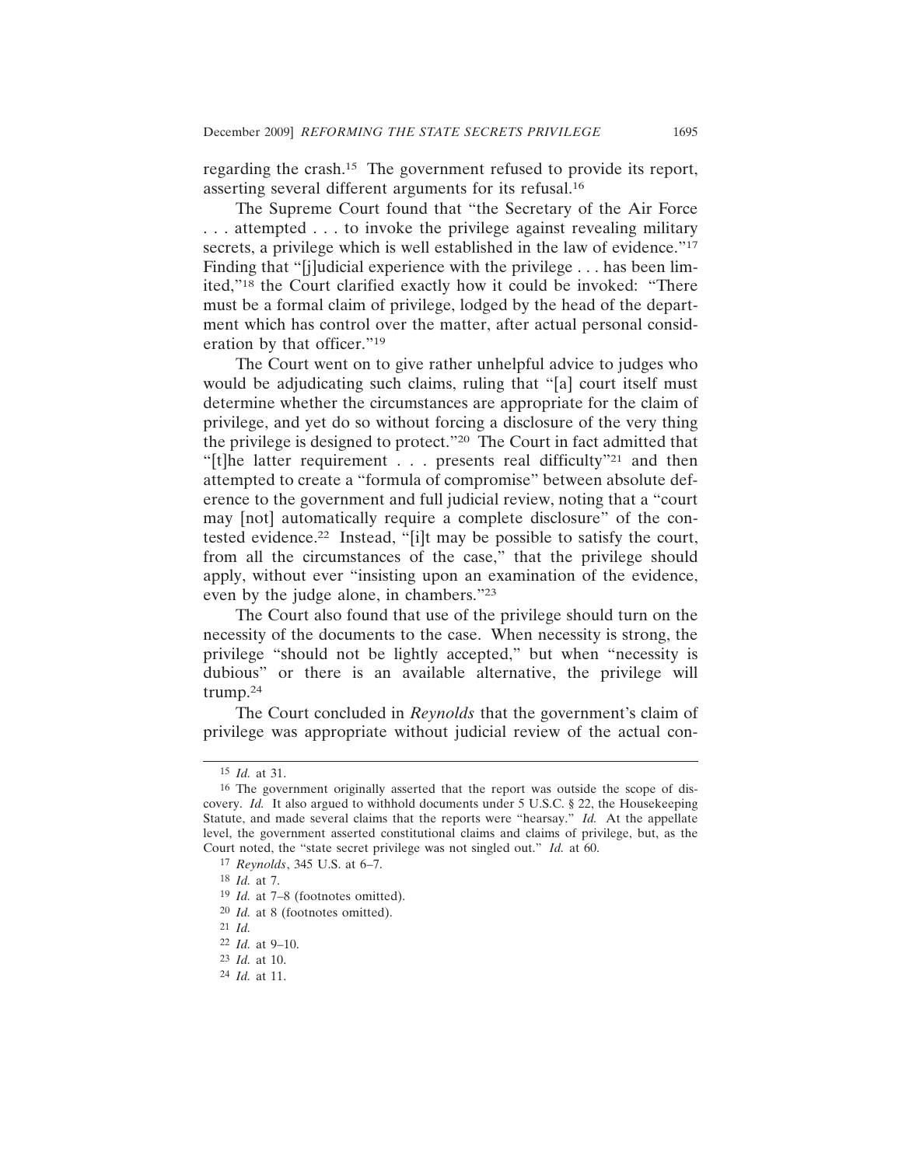regarding the crash.15 The government refused to provide its report, asserting several different arguments for its refusal.16

The Supreme Court found that "the Secretary of the Air Force . . . attempted . . . to invoke the privilege against revealing military secrets, a privilege which is well established in the law of evidence."<sup>17</sup> Finding that "[j]udicial experience with the privilege . . . has been limited,"18 the Court clarified exactly how it could be invoked: "There must be a formal claim of privilege, lodged by the head of the department which has control over the matter, after actual personal consideration by that officer."19

The Court went on to give rather unhelpful advice to judges who would be adjudicating such claims, ruling that "[a] court itself must determine whether the circumstances are appropriate for the claim of privilege, and yet do so without forcing a disclosure of the very thing the privilege is designed to protect."20 The Court in fact admitted that "[t]he latter requirement  $\ldots$  presents real difficulty"<sup>21</sup> and then attempted to create a "formula of compromise" between absolute deference to the government and full judicial review, noting that a "court may [not] automatically require a complete disclosure" of the contested evidence.22 Instead, "[i]t may be possible to satisfy the court, from all the circumstances of the case," that the privilege should apply, without ever "insisting upon an examination of the evidence, even by the judge alone, in chambers."23

The Court also found that use of the privilege should turn on the necessity of the documents to the case. When necessity is strong, the privilege "should not be lightly accepted," but when "necessity is dubious" or there is an available alternative, the privilege will trump.24

The Court concluded in *Reynolds* that the government's claim of privilege was appropriate without judicial review of the actual con-

<sup>15</sup> *Id.* at 31.

<sup>16</sup> The government originally asserted that the report was outside the scope of discovery. *Id.* It also argued to withhold documents under 5 U.S.C. § 22, the Housekeeping Statute, and made several claims that the reports were "hearsay." *Id.* At the appellate level, the government asserted constitutional claims and claims of privilege, but, as the Court noted, the "state secret privilege was not singled out." *Id.* at 60.

<sup>17</sup> *Reynolds*, 345 U.S. at 6–7.

<sup>18</sup> *Id.* at 7.

<sup>19</sup> *Id.* at 7–8 (footnotes omitted).

<sup>20</sup> *Id.* at 8 (footnotes omitted).

<sup>21</sup> *Id.*

<sup>22</sup> *Id.* at 9–10.

<sup>23</sup> *Id.* at 10.

<sup>24</sup> *Id.* at 11.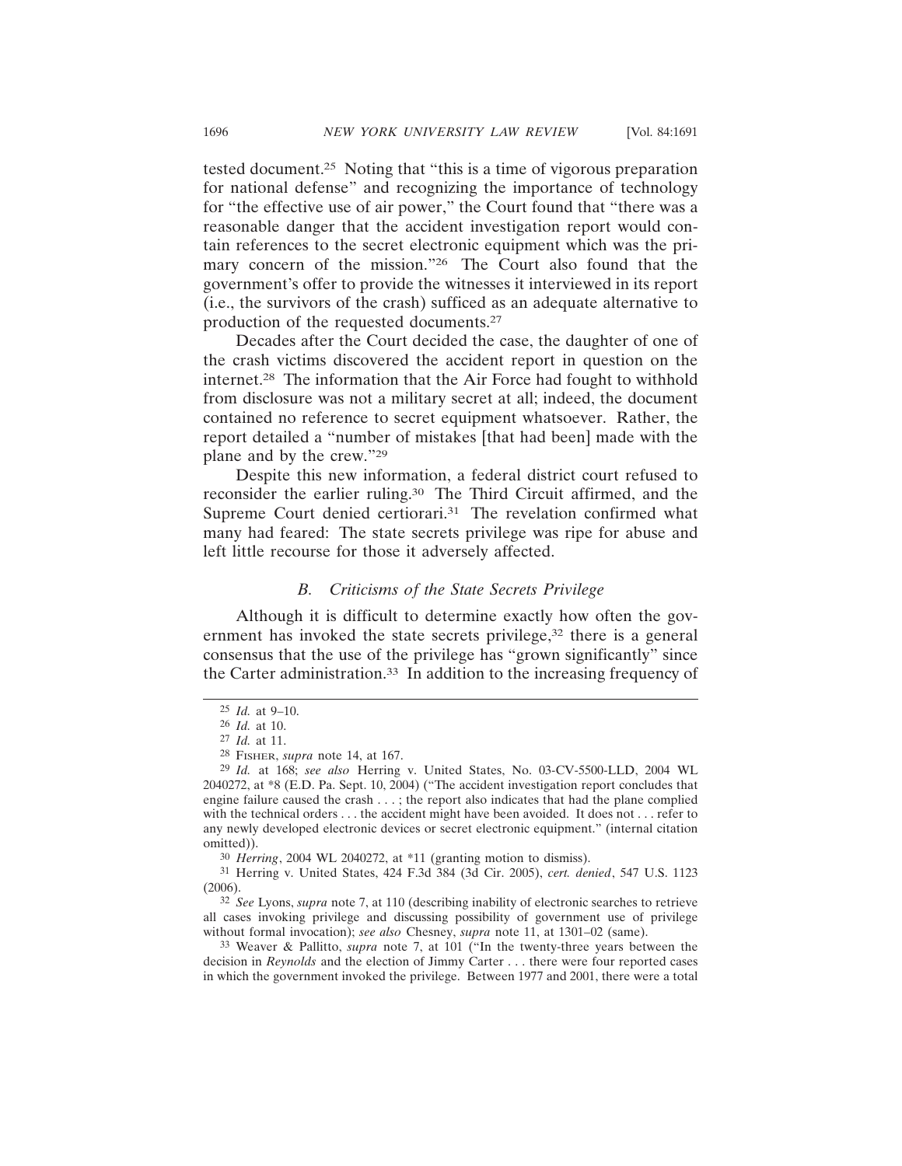tested document.25 Noting that "this is a time of vigorous preparation for national defense" and recognizing the importance of technology for "the effective use of air power," the Court found that "there was a reasonable danger that the accident investigation report would contain references to the secret electronic equipment which was the primary concern of the mission."<sup>26</sup> The Court also found that the government's offer to provide the witnesses it interviewed in its report (i.e., the survivors of the crash) sufficed as an adequate alternative to production of the requested documents.27

Decades after the Court decided the case, the daughter of one of the crash victims discovered the accident report in question on the internet.28 The information that the Air Force had fought to withhold from disclosure was not a military secret at all; indeed, the document contained no reference to secret equipment whatsoever. Rather, the report detailed a "number of mistakes [that had been] made with the plane and by the crew."29

Despite this new information, a federal district court refused to reconsider the earlier ruling.30 The Third Circuit affirmed, and the Supreme Court denied certiorari.<sup>31</sup> The revelation confirmed what many had feared: The state secrets privilege was ripe for abuse and left little recourse for those it adversely affected.

# *B. Criticisms of the State Secrets Privilege*

Although it is difficult to determine exactly how often the government has invoked the state secrets privilege,<sup>32</sup> there is a general consensus that the use of the privilege has "grown significantly" since the Carter administration.33 In addition to the increasing frequency of

30 *Herring*, 2004 WL 2040272, at \*11 (granting motion to dismiss).

31 Herring v. United States, 424 F.3d 384 (3d Cir. 2005), *cert. denied*, 547 U.S. 1123 (2006).

32 *See* Lyons, *supra* note 7, at 110 (describing inability of electronic searches to retrieve all cases invoking privilege and discussing possibility of government use of privilege without formal invocation); *see also* Chesney, *supra* note 11, at 1301–02 (same).

33 Weaver & Pallitto, *supra* note 7, at 101 ("In the twenty-three years between the decision in *Reynolds* and the election of Jimmy Carter . . . there were four reported cases in which the government invoked the privilege. Between 1977 and 2001, there were a total

<sup>25</sup> *Id.* at 9–10.

<sup>26</sup> *Id.* at 10.

<sup>27</sup> *Id.* at 11.

<sup>28</sup> FISHER, *supra* note 14, at 167.

<sup>29</sup> *Id.* at 168; *see also* Herring v. United States, No. 03-CV-5500-LLD, 2004 WL 2040272, at \*8 (E.D. Pa. Sept. 10, 2004) ("The accident investigation report concludes that engine failure caused the crash . . . ; the report also indicates that had the plane complied with the technical orders . . . the accident might have been avoided. It does not . . . refer to any newly developed electronic devices or secret electronic equipment." (internal citation omitted)).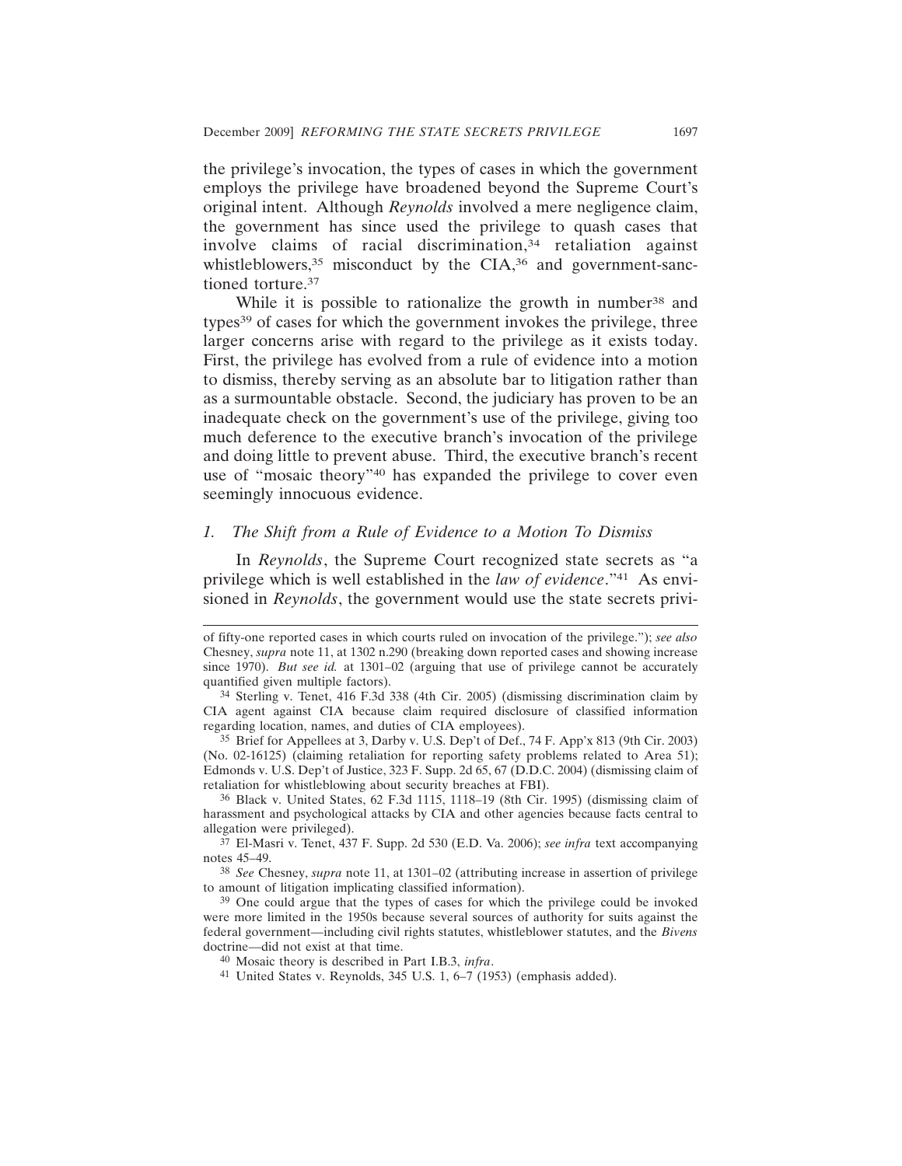the privilege's invocation, the types of cases in which the government employs the privilege have broadened beyond the Supreme Court's original intent. Although *Reynolds* involved a mere negligence claim, the government has since used the privilege to quash cases that involve claims of racial discrimination,<sup>34</sup> retaliation against whistleblowers, $35$  misconduct by the CIA, $36$  and government-sanctioned torture.37

While it is possible to rationalize the growth in number<sup>38</sup> and types39 of cases for which the government invokes the privilege, three larger concerns arise with regard to the privilege as it exists today. First, the privilege has evolved from a rule of evidence into a motion to dismiss, thereby serving as an absolute bar to litigation rather than as a surmountable obstacle. Second, the judiciary has proven to be an inadequate check on the government's use of the privilege, giving too much deference to the executive branch's invocation of the privilege and doing little to prevent abuse. Third, the executive branch's recent use of "mosaic theory"40 has expanded the privilege to cover even seemingly innocuous evidence.

#### *1. The Shift from a Rule of Evidence to a Motion To Dismiss*

In *Reynolds*, the Supreme Court recognized state secrets as "a privilege which is well established in the *law of evidence*."41 As envisioned in *Reynolds*, the government would use the state secrets privi-

36 Black v. United States, 62 F.3d 1115, 1118–19 (8th Cir. 1995) (dismissing claim of harassment and psychological attacks by CIA and other agencies because facts central to allegation were privileged).

37 El-Masri v. Tenet, 437 F. Supp. 2d 530 (E.D. Va. 2006); *see infra* text accompanying notes 45–49.

38 *See* Chesney, *supra* note 11, at 1301–02 (attributing increase in assertion of privilege to amount of litigation implicating classified information).

39 One could argue that the types of cases for which the privilege could be invoked were more limited in the 1950s because several sources of authority for suits against the federal government—including civil rights statutes, whistleblower statutes, and the *Bivens* doctrine—did not exist at that time.

40 Mosaic theory is described in Part I.B.3, *infra*.

41 United States v. Reynolds, 345 U.S. 1, 6–7 (1953) (emphasis added).

of fifty-one reported cases in which courts ruled on invocation of the privilege."); *see also* Chesney, *supra* note 11, at 1302 n.290 (breaking down reported cases and showing increase since 1970). *But see id.* at 1301–02 (arguing that use of privilege cannot be accurately quantified given multiple factors).

<sup>34</sup> Sterling v. Tenet, 416 F.3d 338 (4th Cir. 2005) (dismissing discrimination claim by CIA agent against CIA because claim required disclosure of classified information regarding location, names, and duties of CIA employees).

<sup>35</sup> Brief for Appellees at 3, Darby v. U.S. Dep't of Def., 74 F. App'x 813 (9th Cir. 2003) (No. 02-16125) (claiming retaliation for reporting safety problems related to Area 51); Edmonds v. U.S. Dep't of Justice, 323 F. Supp. 2d 65, 67 (D.D.C. 2004) (dismissing claim of retaliation for whistleblowing about security breaches at FBI).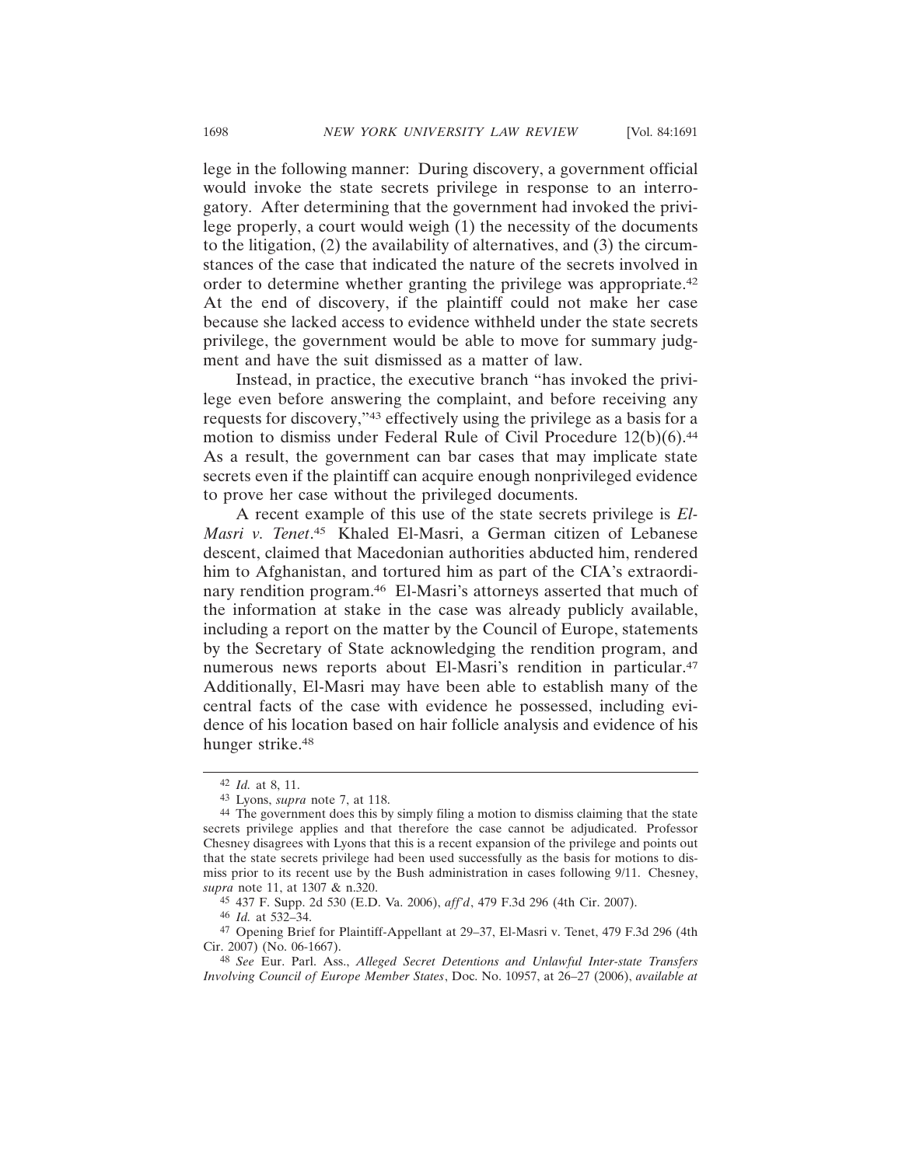lege in the following manner: During discovery, a government official would invoke the state secrets privilege in response to an interrogatory. After determining that the government had invoked the privilege properly, a court would weigh (1) the necessity of the documents to the litigation, (2) the availability of alternatives, and (3) the circumstances of the case that indicated the nature of the secrets involved in order to determine whether granting the privilege was appropriate.42 At the end of discovery, if the plaintiff could not make her case because she lacked access to evidence withheld under the state secrets

Instead, in practice, the executive branch "has invoked the privilege even before answering the complaint, and before receiving any requests for discovery,"43 effectively using the privilege as a basis for a motion to dismiss under Federal Rule of Civil Procedure 12(b)(6).44 As a result, the government can bar cases that may implicate state secrets even if the plaintiff can acquire enough nonprivileged evidence to prove her case without the privileged documents.

privilege, the government would be able to move for summary judg-

ment and have the suit dismissed as a matter of law.

A recent example of this use of the state secrets privilege is *El-Masri v. Tenet*. 45 Khaled El-Masri, a German citizen of Lebanese descent, claimed that Macedonian authorities abducted him, rendered him to Afghanistan, and tortured him as part of the CIA's extraordinary rendition program.46 El-Masri's attorneys asserted that much of the information at stake in the case was already publicly available, including a report on the matter by the Council of Europe, statements by the Secretary of State acknowledging the rendition program, and numerous news reports about El-Masri's rendition in particular.<sup>47</sup> Additionally, El-Masri may have been able to establish many of the central facts of the case with evidence he possessed, including evidence of his location based on hair follicle analysis and evidence of his hunger strike.<sup>48</sup>

<sup>42</sup> *Id.* at 8, 11.

<sup>43</sup> Lyons, *supra* note 7, at 118.

<sup>44</sup> The government does this by simply filing a motion to dismiss claiming that the state secrets privilege applies and that therefore the case cannot be adjudicated. Professor Chesney disagrees with Lyons that this is a recent expansion of the privilege and points out that the state secrets privilege had been used successfully as the basis for motions to dismiss prior to its recent use by the Bush administration in cases following 9/11. Chesney, *supra* note 11, at 1307 & n.320.

<sup>45</sup> 437 F. Supp. 2d 530 (E.D. Va. 2006), *aff'd*, 479 F.3d 296 (4th Cir. 2007).

<sup>46</sup> *Id.* at 532–34.

<sup>47</sup> Opening Brief for Plaintiff-Appellant at 29–37, El-Masri v. Tenet, 479 F.3d 296 (4th Cir. 2007) (No. 06-1667).

<sup>48</sup> *See* Eur. Parl. Ass., *Alleged Secret Detentions and Unlawful Inter-state Transfers Involving Council of Europe Member States*, Doc. No. 10957, at 26–27 (2006), *available at*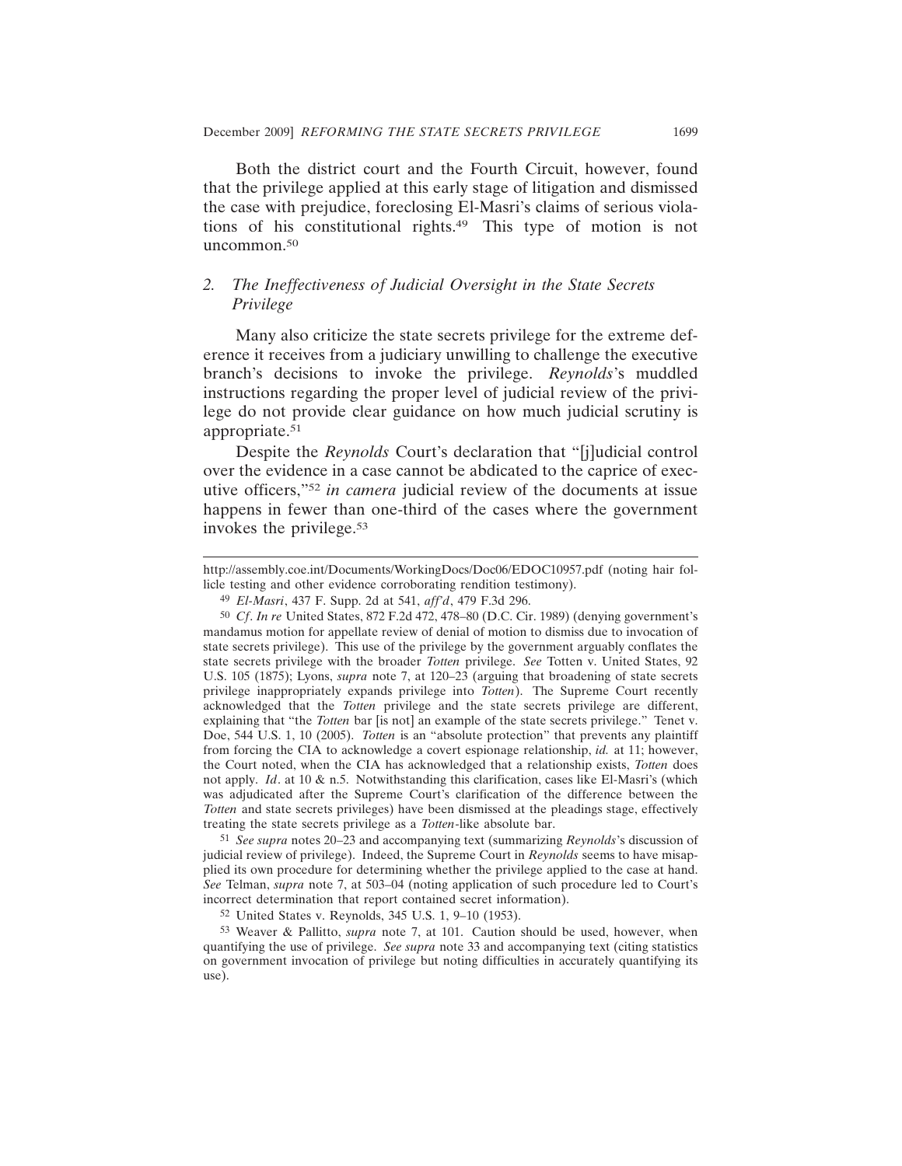Both the district court and the Fourth Circuit, however, found that the privilege applied at this early stage of litigation and dismissed the case with prejudice, foreclosing El-Masri's claims of serious violations of his constitutional rights.49 This type of motion is not uncommon.<sup>50</sup>

# *2. The Ineffectiveness of Judicial Oversight in the State Secrets Privilege*

Many also criticize the state secrets privilege for the extreme deference it receives from a judiciary unwilling to challenge the executive branch's decisions to invoke the privilege. *Reynolds*'s muddled instructions regarding the proper level of judicial review of the privilege do not provide clear guidance on how much judicial scrutiny is appropriate.51

Despite the *Reynolds* Court's declaration that "[j]udicial control over the evidence in a case cannot be abdicated to the caprice of executive officers,"52 *in camera* judicial review of the documents at issue happens in fewer than one-third of the cases where the government invokes the privilege.53

51 *See supra* notes 20–23 and accompanying text (summarizing *Reynolds*'s discussion of judicial review of privilege). Indeed, the Supreme Court in *Reynolds* seems to have misapplied its own procedure for determining whether the privilege applied to the case at hand. *See* Telman, *supra* note 7, at 503–04 (noting application of such procedure led to Court's incorrect determination that report contained secret information).

52 United States v. Reynolds, 345 U.S. 1, 9–10 (1953).

53 Weaver & Pallitto, *supra* note 7, at 101. Caution should be used, however, when quantifying the use of privilege. *See supra* note 33 and accompanying text (citing statistics on government invocation of privilege but noting difficulties in accurately quantifying its use).

http://assembly.coe.int/Documents/WorkingDocs/Doc06/EDOC10957.pdf (noting hair follicle testing and other evidence corroborating rendition testimony).

<sup>49</sup> *El-Masri*, 437 F. Supp. 2d at 541, *aff'd*, 479 F.3d 296.

<sup>50</sup> *Cf*. *In re* United States, 872 F.2d 472, 478–80 (D.C. Cir. 1989) (denying government's mandamus motion for appellate review of denial of motion to dismiss due to invocation of state secrets privilege). This use of the privilege by the government arguably conflates the state secrets privilege with the broader *Totten* privilege. *See* Totten v. United States, 92 U.S. 105 (1875); Lyons, *supra* note 7, at 120–23 (arguing that broadening of state secrets privilege inappropriately expands privilege into *Totten*). The Supreme Court recently acknowledged that the *Totten* privilege and the state secrets privilege are different, explaining that "the *Totten* bar [is not] an example of the state secrets privilege." Tenet v. Doe, 544 U.S. 1, 10 (2005). *Totten* is an "absolute protection" that prevents any plaintiff from forcing the CIA to acknowledge a covert espionage relationship, *id.* at 11; however, the Court noted, when the CIA has acknowledged that a relationship exists, *Totten* does not apply. *Id*. at 10 & n.5. Notwithstanding this clarification, cases like El-Masri's (which was adjudicated after the Supreme Court's clarification of the difference between the *Totten* and state secrets privileges) have been dismissed at the pleadings stage, effectively treating the state secrets privilege as a *Totten*-like absolute bar.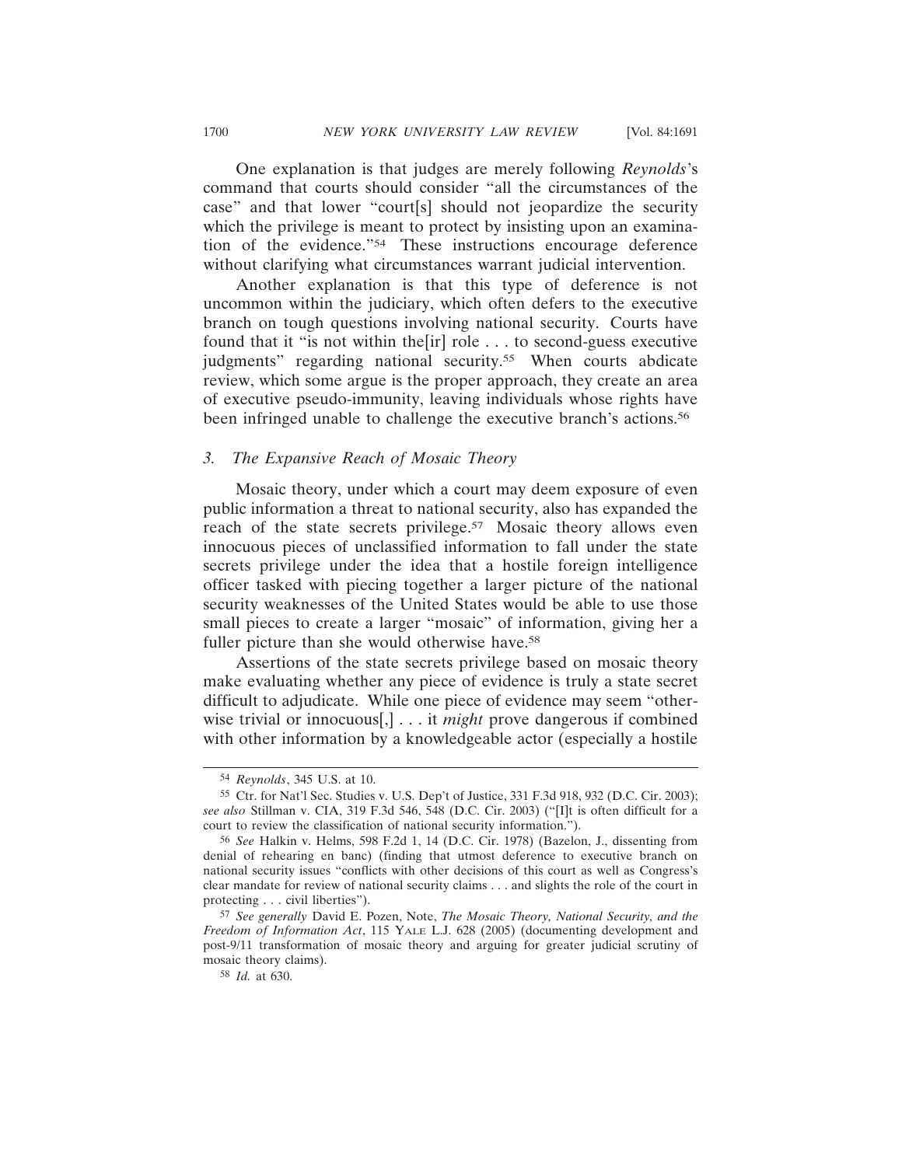One explanation is that judges are merely following *Reynolds*'s command that courts should consider "all the circumstances of the case" and that lower "court[s] should not jeopardize the security which the privilege is meant to protect by insisting upon an examination of the evidence."54 These instructions encourage deference without clarifying what circumstances warrant judicial intervention.

Another explanation is that this type of deference is not uncommon within the judiciary, which often defers to the executive branch on tough questions involving national security. Courts have found that it "is not within the[ir] role . . . to second-guess executive judgments" regarding national security.55 When courts abdicate review, which some argue is the proper approach, they create an area of executive pseudo-immunity, leaving individuals whose rights have been infringed unable to challenge the executive branch's actions.<sup>56</sup>

#### *3. The Expansive Reach of Mosaic Theory*

Mosaic theory, under which a court may deem exposure of even public information a threat to national security, also has expanded the reach of the state secrets privilege.<sup>57</sup> Mosaic theory allows even innocuous pieces of unclassified information to fall under the state secrets privilege under the idea that a hostile foreign intelligence officer tasked with piecing together a larger picture of the national security weaknesses of the United States would be able to use those small pieces to create a larger "mosaic" of information, giving her a fuller picture than she would otherwise have.<sup>58</sup>

Assertions of the state secrets privilege based on mosaic theory make evaluating whether any piece of evidence is truly a state secret difficult to adjudicate. While one piece of evidence may seem "otherwise trivial or innocuous[,] . . . it *might* prove dangerous if combined with other information by a knowledgeable actor (especially a hostile

<sup>54</sup> *Reynolds*, 345 U.S. at 10.

<sup>55</sup> Ctr. for Nat'l Sec. Studies v. U.S. Dep't of Justice, 331 F.3d 918, 932 (D.C. Cir. 2003); *see also* Stillman v. CIA, 319 F.3d 546, 548 (D.C. Cir. 2003) ("[I]t is often difficult for a court to review the classification of national security information.").

<sup>56</sup> *See* Halkin v. Helms, 598 F.2d 1, 14 (D.C. Cir. 1978) (Bazelon, J., dissenting from denial of rehearing en banc) (finding that utmost deference to executive branch on national security issues "conflicts with other decisions of this court as well as Congress's clear mandate for review of national security claims . . . and slights the role of the court in protecting . . . civil liberties").

<sup>57</sup> *See generally* David E. Pozen, Note, *The Mosaic Theory, National Security, and the Freedom of Information Act*, 115 YALE L.J. 628 (2005) (documenting development and post-9/11 transformation of mosaic theory and arguing for greater judicial scrutiny of mosaic theory claims).

<sup>58</sup> *Id.* at 630.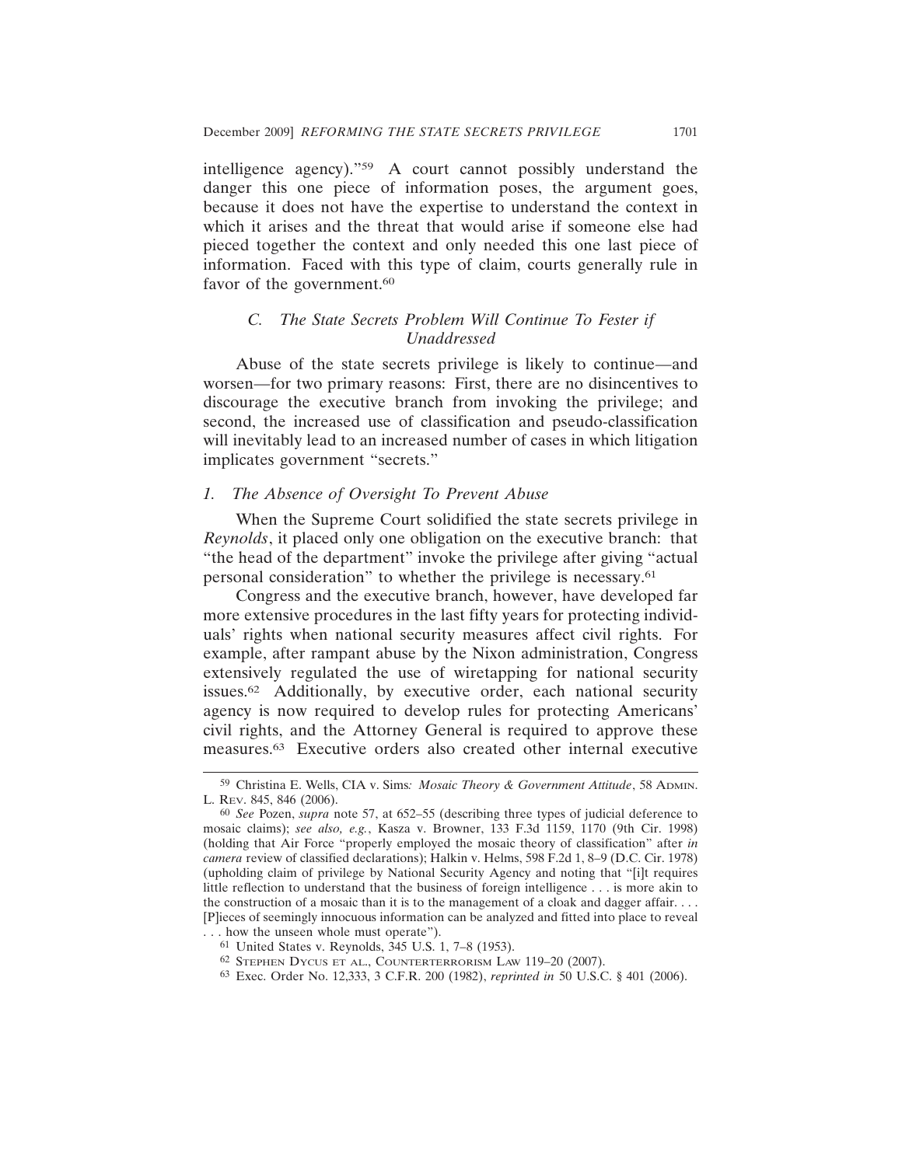intelligence agency)."59 A court cannot possibly understand the danger this one piece of information poses, the argument goes, because it does not have the expertise to understand the context in which it arises and the threat that would arise if someone else had pieced together the context and only needed this one last piece of information. Faced with this type of claim, courts generally rule in favor of the government.<sup>60</sup>

# *C. The State Secrets Problem Will Continue To Fester if Unaddressed*

Abuse of the state secrets privilege is likely to continue—and worsen—for two primary reasons: First, there are no disincentives to discourage the executive branch from invoking the privilege; and second, the increased use of classification and pseudo-classification will inevitably lead to an increased number of cases in which litigation implicates government "secrets."

### *1. The Absence of Oversight To Prevent Abuse*

When the Supreme Court solidified the state secrets privilege in *Reynolds*, it placed only one obligation on the executive branch: that "the head of the department" invoke the privilege after giving "actual personal consideration" to whether the privilege is necessary.61

Congress and the executive branch, however, have developed far more extensive procedures in the last fifty years for protecting individuals' rights when national security measures affect civil rights. For example, after rampant abuse by the Nixon administration, Congress extensively regulated the use of wiretapping for national security issues.62 Additionally, by executive order, each national security agency is now required to develop rules for protecting Americans' civil rights, and the Attorney General is required to approve these measures.63 Executive orders also created other internal executive

<sup>59</sup> Christina E. Wells, CIA v. Sims*: Mosaic Theory & Government Attitude*, 58 ADMIN. L. REV. 845, 846 (2006).

<sup>60</sup> *See* Pozen, *supra* note 57, at 652–55 (describing three types of judicial deference to mosaic claims); *see also, e.g.*, Kasza v. Browner, 133 F.3d 1159, 1170 (9th Cir. 1998) (holding that Air Force "properly employed the mosaic theory of classification" after *in camera* review of classified declarations); Halkin v. Helms, 598 F.2d 1, 8–9 (D.C. Cir. 1978) (upholding claim of privilege by National Security Agency and noting that "[i]t requires little reflection to understand that the business of foreign intelligence . . . is more akin to the construction of a mosaic than it is to the management of a cloak and dagger affair. . . . [P]ieces of seemingly innocuous information can be analyzed and fitted into place to reveal . . . how the unseen whole must operate").

<sup>61</sup> United States v. Reynolds, 345 U.S. 1, 7–8 (1953).

<sup>62</sup> STEPHEN DYCUS ET AL., COUNTERTERRORISM LAW 119–20 (2007).

<sup>63</sup> Exec. Order No. 12,333, 3 C.F.R. 200 (1982), *reprinted in* 50 U.S.C. § 401 (2006).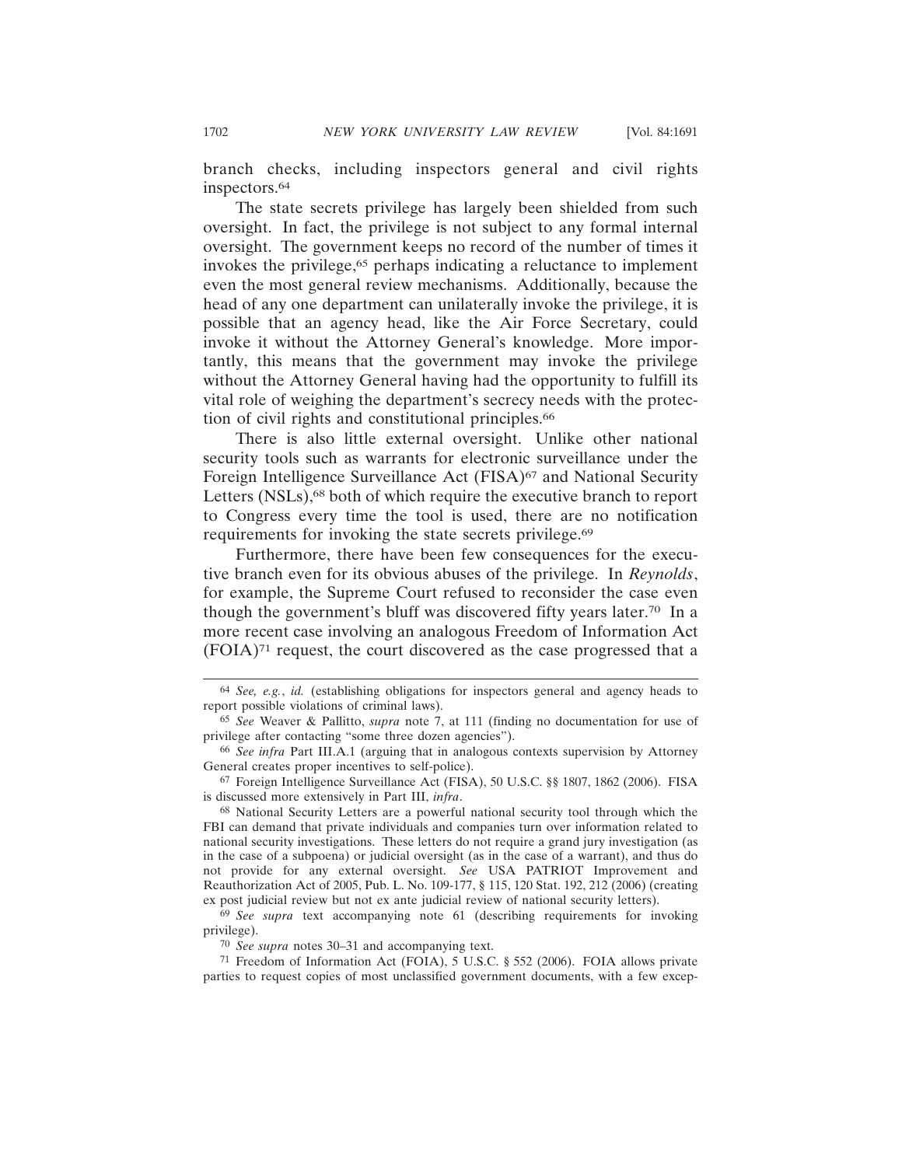branch checks, including inspectors general and civil rights inspectors.64

The state secrets privilege has largely been shielded from such oversight. In fact, the privilege is not subject to any formal internal oversight. The government keeps no record of the number of times it invokes the privilege,<sup>65</sup> perhaps indicating a reluctance to implement even the most general review mechanisms. Additionally, because the head of any one department can unilaterally invoke the privilege, it is possible that an agency head, like the Air Force Secretary, could invoke it without the Attorney General's knowledge. More importantly, this means that the government may invoke the privilege without the Attorney General having had the opportunity to fulfill its vital role of weighing the department's secrecy needs with the protection of civil rights and constitutional principles.66

There is also little external oversight. Unlike other national security tools such as warrants for electronic surveillance under the Foreign Intelligence Surveillance Act (FISA)<sup>67</sup> and National Security Letters (NSLs),<sup>68</sup> both of which require the executive branch to report to Congress every time the tool is used, there are no notification requirements for invoking the state secrets privilege.<sup>69</sup>

Furthermore, there have been few consequences for the executive branch even for its obvious abuses of the privilege. In *Reynolds*, for example, the Supreme Court refused to reconsider the case even though the government's bluff was discovered fifty years later.70 In a more recent case involving an analogous Freedom of Information Act (FOIA)71 request, the court discovered as the case progressed that a

70 *See supra* notes 30–31 and accompanying text.

<sup>64</sup> *See, e.g.*, *id.* (establishing obligations for inspectors general and agency heads to report possible violations of criminal laws).

<sup>65</sup> *See* Weaver & Pallitto, *supra* note 7, at 111 (finding no documentation for use of privilege after contacting "some three dozen agencies").

<sup>66</sup> *See infra* Part III.A.1 (arguing that in analogous contexts supervision by Attorney General creates proper incentives to self-police).

<sup>67</sup> Foreign Intelligence Surveillance Act (FISA), 50 U.S.C. §§ 1807, 1862 (2006). FISA is discussed more extensively in Part III, *infra*.

<sup>68</sup> National Security Letters are a powerful national security tool through which the FBI can demand that private individuals and companies turn over information related to national security investigations. These letters do not require a grand jury investigation (as in the case of a subpoena) or judicial oversight (as in the case of a warrant), and thus do not provide for any external oversight. *See* USA PATRIOT Improvement and Reauthorization Act of 2005, Pub. L. No. 109-177, § 115, 120 Stat. 192, 212 (2006) (creating ex post judicial review but not ex ante judicial review of national security letters).

<sup>69</sup> *See supra* text accompanying note 61 (describing requirements for invoking privilege).

<sup>71</sup> Freedom of Information Act (FOIA), 5 U.S.C. § 552 (2006). FOIA allows private parties to request copies of most unclassified government documents, with a few excep-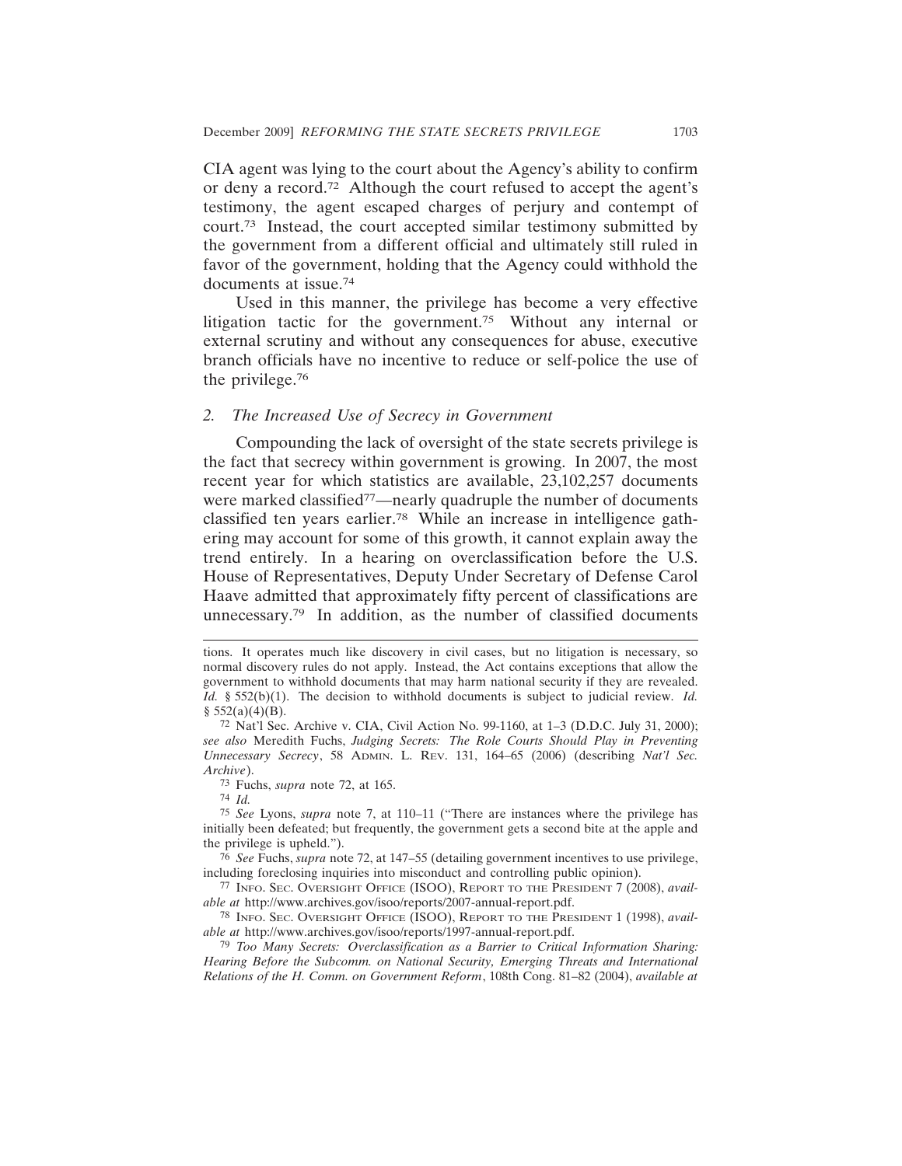CIA agent was lying to the court about the Agency's ability to confirm or deny a record.72 Although the court refused to accept the agent's testimony, the agent escaped charges of perjury and contempt of court.73 Instead, the court accepted similar testimony submitted by the government from a different official and ultimately still ruled in favor of the government, holding that the Agency could withhold the documents at issue.74

Used in this manner, the privilege has become a very effective litigation tactic for the government.<sup>75</sup> Without any internal or external scrutiny and without any consequences for abuse, executive branch officials have no incentive to reduce or self-police the use of the privilege.76

#### *2. The Increased Use of Secrecy in Government*

Compounding the lack of oversight of the state secrets privilege is the fact that secrecy within government is growing. In 2007, the most recent year for which statistics are available, 23,102,257 documents were marked classified<sup>77</sup>—nearly quadruple the number of documents classified ten years earlier.78 While an increase in intelligence gathering may account for some of this growth, it cannot explain away the trend entirely. In a hearing on overclassification before the U.S. House of Representatives, Deputy Under Secretary of Defense Carol Haave admitted that approximately fifty percent of classifications are unnecessary.79 In addition, as the number of classified documents

74 *Id.*

tions. It operates much like discovery in civil cases, but no litigation is necessary, so normal discovery rules do not apply. Instead, the Act contains exceptions that allow the government to withhold documents that may harm national security if they are revealed. *Id.* § 552(b)(1). The decision to withhold documents is subject to judicial review. *Id.*  $§$  552(a)(4)(B).

<sup>72</sup> Nat'l Sec. Archive v. CIA, Civil Action No. 99-1160, at 1–3 (D.D.C. July 31, 2000); *see also* Meredith Fuchs, *Judging Secrets: The Role Courts Should Play in Preventing Unnecessary Secrecy*, 58 ADMIN. L. REV. 131, 164–65 (2006) (describing *Nat'l Sec. Archive*).

<sup>73</sup> Fuchs, *supra* note 72, at 165.

<sup>75</sup> *See* Lyons, *supra* note 7, at 110–11 ("There are instances where the privilege has initially been defeated; but frequently, the government gets a second bite at the apple and the privilege is upheld.").

<sup>76</sup> *See* Fuchs, *supra* note 72, at 147–55 (detailing government incentives to use privilege, including foreclosing inquiries into misconduct and controlling public opinion).

<sup>77</sup> INFO. SEC. OVERSIGHT OFFICE (ISOO), REPORT TO THE PRESIDENT 7 (2008), *available at* http://www.archives.gov/isoo/reports/2007-annual-report.pdf.

<sup>78</sup> INFO. SEC. OVERSIGHT OFFICE (ISOO), REPORT TO THE PRESIDENT 1 (1998), *available at* http://www.archives.gov/isoo/reports/1997-annual-report.pdf.

<sup>79</sup> *Too Many Secrets: Overclassification as a Barrier to Critical Information Sharing: Hearing Before the Subcomm. on National Security, Emerging Threats and International Relations of the H. Comm. on Government Reform*, 108th Cong. 81–82 (2004), *available at*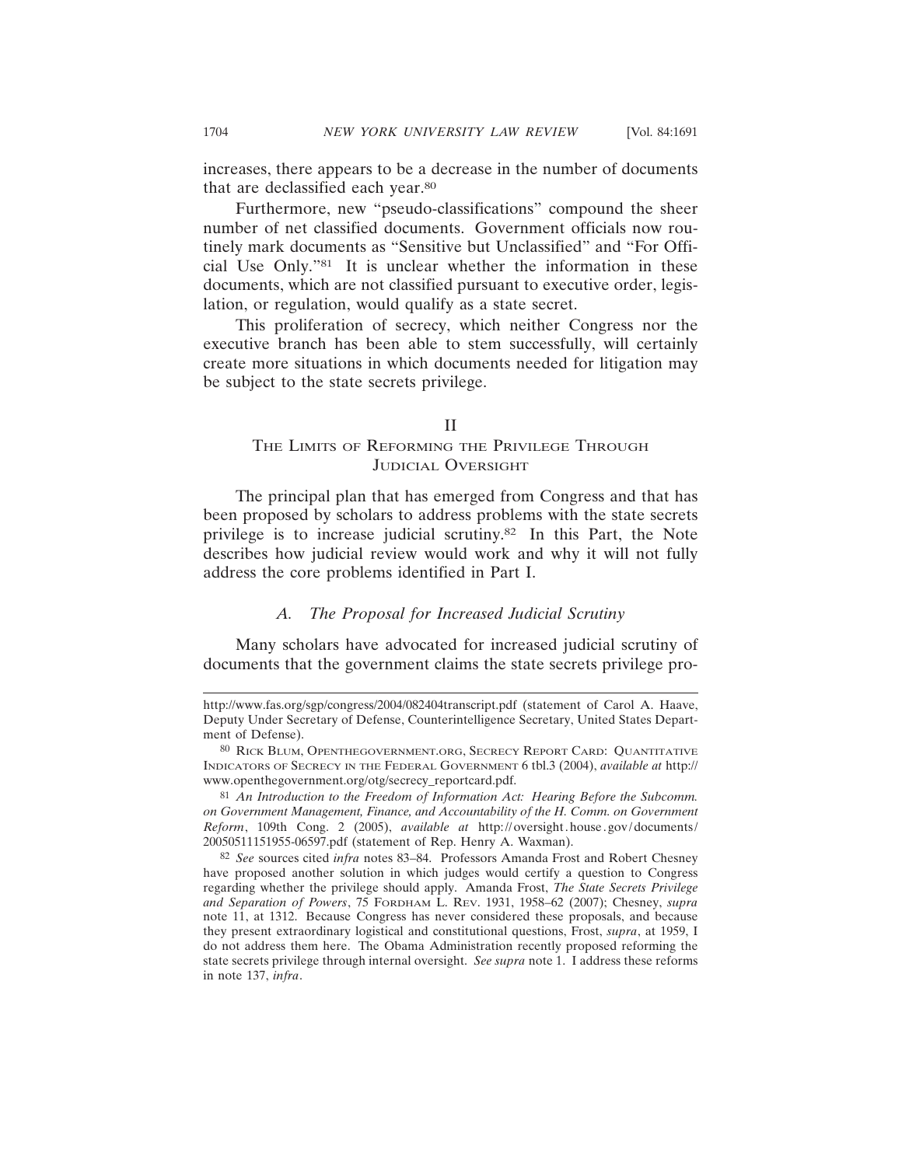increases, there appears to be a decrease in the number of documents that are declassified each year.80

Furthermore, new "pseudo-classifications" compound the sheer number of net classified documents. Government officials now routinely mark documents as "Sensitive but Unclassified" and "For Official Use Only."81 It is unclear whether the information in these documents, which are not classified pursuant to executive order, legislation, or regulation, would qualify as a state secret.

This proliferation of secrecy, which neither Congress nor the executive branch has been able to stem successfully, will certainly create more situations in which documents needed for litigation may be subject to the state secrets privilege.

#### II

# THE LIMITS OF REFORMING THE PRIVILEGE THROUGH JUDICIAL OVERSIGHT

The principal plan that has emerged from Congress and that has been proposed by scholars to address problems with the state secrets privilege is to increase judicial scrutiny.82 In this Part, the Note describes how judicial review would work and why it will not fully address the core problems identified in Part I.

#### *A. The Proposal for Increased Judicial Scrutiny*

Many scholars have advocated for increased judicial scrutiny of documents that the government claims the state secrets privilege pro-

http://www.fas.org/sgp/congress/2004/082404transcript.pdf (statement of Carol A. Haave, Deputy Under Secretary of Defense, Counterintelligence Secretary, United States Department of Defense).

<sup>80</sup> RICK BLUM, OPENTHEGOVERNMENT.ORG, SECRECY REPORT CARD: QUANTITATIVE INDICATORS OF SECRECY IN THE FEDERAL GOVERNMENT 6 tbl.3 (2004), *available at* http:// www.openthegovernment.org/otg/secrecy\_reportcard.pdf.

<sup>81</sup> *An Introduction to the Freedom of Information Act: Hearing Before the Subcomm. on Government Management, Finance, and Accountability of the H. Comm. on Government Reform*, 109th Cong. 2 (2005), *available at* http://oversight.house.gov/documents/ 20050511151955-06597.pdf (statement of Rep. Henry A. Waxman).

<sup>82</sup> *See* sources cited *infra* notes 83–84. Professors Amanda Frost and Robert Chesney have proposed another solution in which judges would certify a question to Congress regarding whether the privilege should apply. Amanda Frost, *The State Secrets Privilege and Separation of Powers*, 75 FORDHAM L. REV. 1931, 1958–62 (2007); Chesney, *supra* note 11, at 1312. Because Congress has never considered these proposals, and because they present extraordinary logistical and constitutional questions, Frost, *supra*, at 1959, I do not address them here. The Obama Administration recently proposed reforming the state secrets privilege through internal oversight. *See supra* note 1. I address these reforms in note 137, *infra*.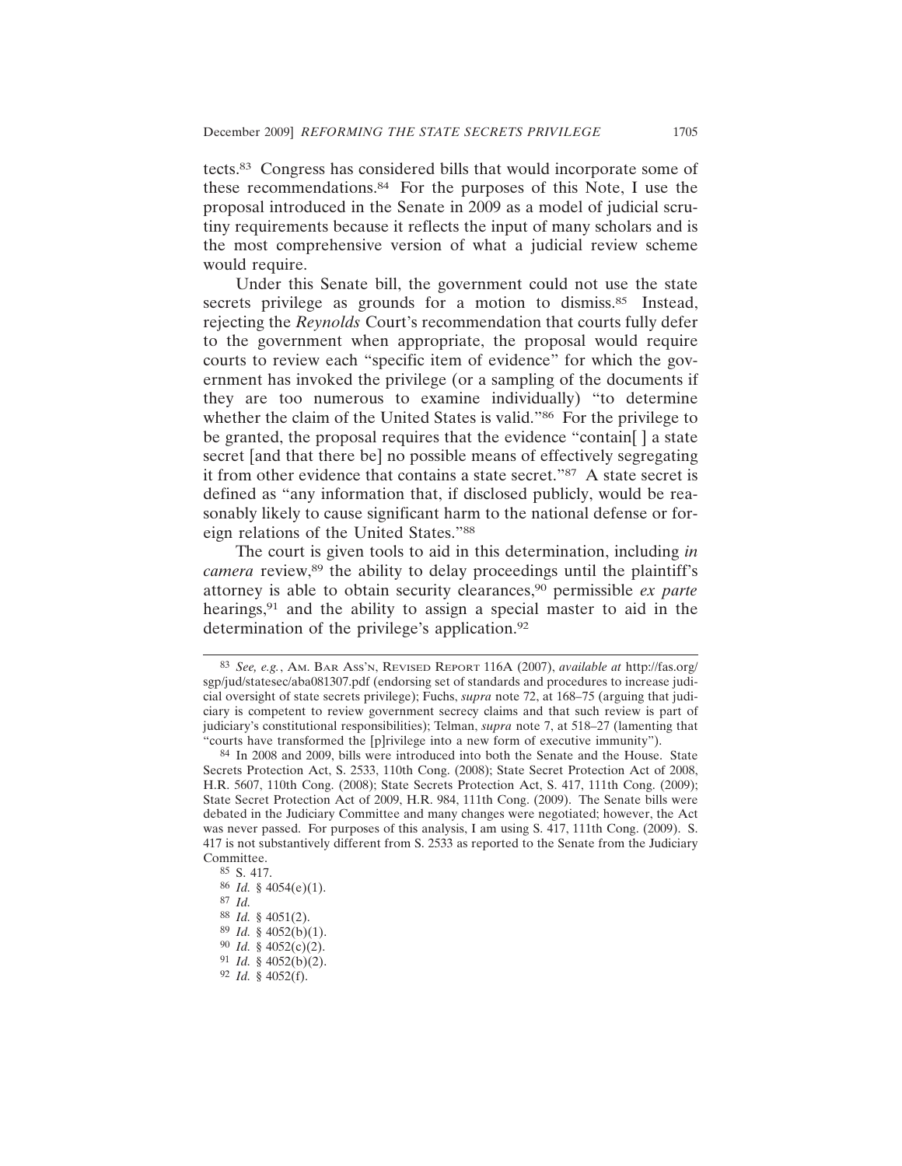tects.83 Congress has considered bills that would incorporate some of these recommendations.84 For the purposes of this Note, I use the proposal introduced in the Senate in 2009 as a model of judicial scrutiny requirements because it reflects the input of many scholars and is the most comprehensive version of what a judicial review scheme would require.

Under this Senate bill, the government could not use the state secrets privilege as grounds for a motion to dismiss.<sup>85</sup> Instead, rejecting the *Reynolds* Court's recommendation that courts fully defer to the government when appropriate, the proposal would require courts to review each "specific item of evidence" for which the government has invoked the privilege (or a sampling of the documents if they are too numerous to examine individually) "to determine whether the claim of the United States is valid."<sup>86</sup> For the privilege to be granted, the proposal requires that the evidence "contain[ ] a state secret [and that there be] no possible means of effectively segregating it from other evidence that contains a state secret."87 A state secret is defined as "any information that, if disclosed publicly, would be reasonably likely to cause significant harm to the national defense or foreign relations of the United States."88

The court is given tools to aid in this determination, including *in camera* review,<sup>89</sup> the ability to delay proceedings until the plaintiff's attorney is able to obtain security clearances,90 permissible *ex parte* hearings,<sup>91</sup> and the ability to assign a special master to aid in the determination of the privilege's application.92

<sup>83</sup> *See, e.g.*, AM. BAR ASS'N, REVISED REPORT 116A (2007), *available at* http://fas.org/ sgp/jud/statesec/aba081307.pdf (endorsing set of standards and procedures to increase judicial oversight of state secrets privilege); Fuchs, *supra* note 72, at 168–75 (arguing that judiciary is competent to review government secrecy claims and that such review is part of judiciary's constitutional responsibilities); Telman, *supra* note 7, at 518–27 (lamenting that "courts have transformed the [p]rivilege into a new form of executive immunity").

<sup>84</sup> In 2008 and 2009, bills were introduced into both the Senate and the House. State Secrets Protection Act, S. 2533, 110th Cong. (2008); State Secret Protection Act of 2008, H.R. 5607, 110th Cong. (2008); State Secrets Protection Act, S. 417, 111th Cong. (2009); State Secret Protection Act of 2009, H.R. 984, 111th Cong. (2009). The Senate bills were debated in the Judiciary Committee and many changes were negotiated; however, the Act was never passed. For purposes of this analysis, I am using S. 417, 111th Cong. (2009). S. 417 is not substantively different from S. 2533 as reported to the Senate from the Judiciary Committee.

<sup>85</sup> S. 417.

<sup>86</sup> *Id.* § 4054(e)(1).

<sup>87</sup> *Id.*

<sup>88</sup> *Id.* § 4051(2).

<sup>89</sup> *Id.* § 4052(b)(1).

<sup>90</sup> *Id.* § 4052(c)(2).

<sup>91</sup> *Id.* § 4052(b)(2).

<sup>92</sup> *Id.* § 4052(f).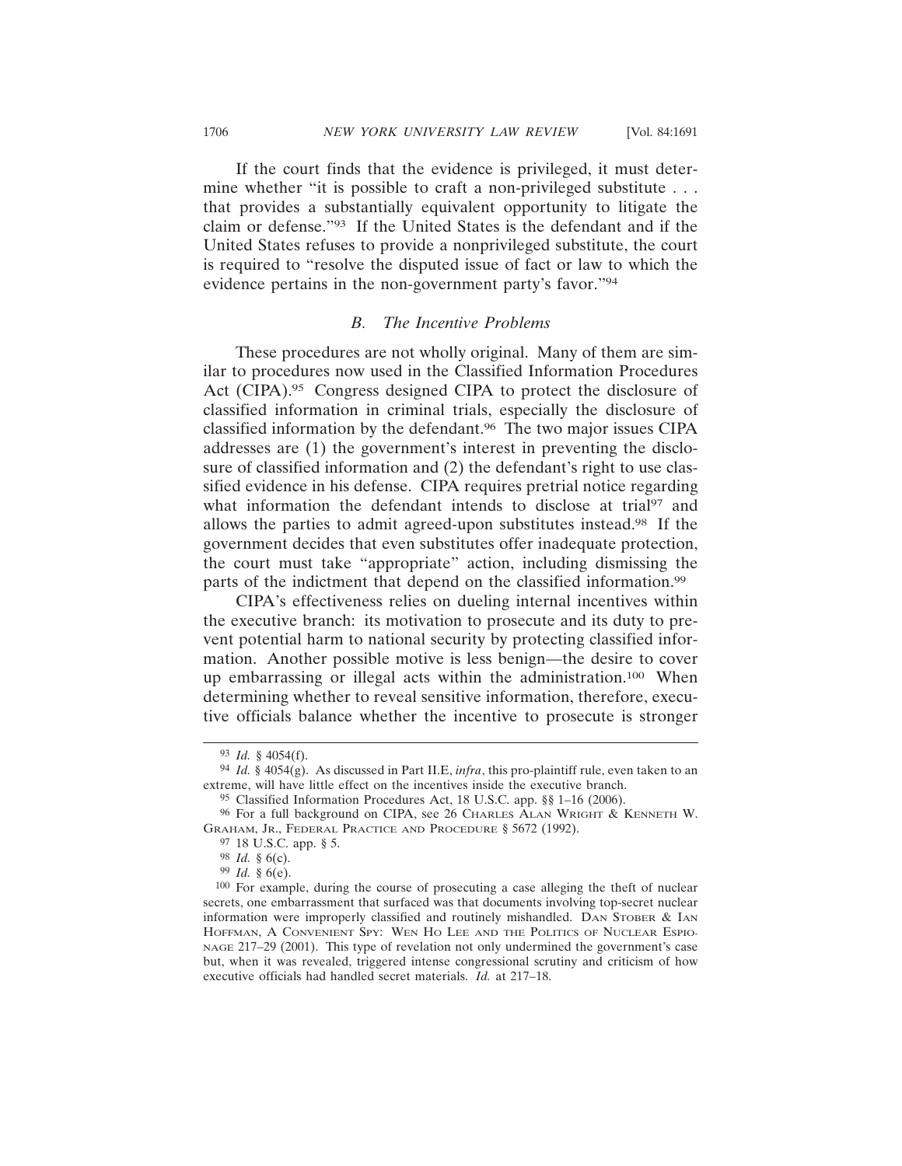If the court finds that the evidence is privileged, it must determine whether "it is possible to craft a non-privileged substitute . . . that provides a substantially equivalent opportunity to litigate the claim or defense."93 If the United States is the defendant and if the United States refuses to provide a nonprivileged substitute, the court is required to "resolve the disputed issue of fact or law to which the evidence pertains in the non-government party's favor."94

## *B. The Incentive Problems*

These procedures are not wholly original. Many of them are similar to procedures now used in the Classified Information Procedures Act (CIPA).95 Congress designed CIPA to protect the disclosure of classified information in criminal trials, especially the disclosure of classified information by the defendant.96 The two major issues CIPA addresses are (1) the government's interest in preventing the disclosure of classified information and (2) the defendant's right to use classified evidence in his defense. CIPA requires pretrial notice regarding what information the defendant intends to disclose at trial<sup>97</sup> and allows the parties to admit agreed-upon substitutes instead.98 If the government decides that even substitutes offer inadequate protection, the court must take "appropriate" action, including dismissing the parts of the indictment that depend on the classified information.99

CIPA's effectiveness relies on dueling internal incentives within the executive branch: its motivation to prosecute and its duty to prevent potential harm to national security by protecting classified information. Another possible motive is less benign—the desire to cover up embarrassing or illegal acts within the administration.100 When determining whether to reveal sensitive information, therefore, executive officials balance whether the incentive to prosecute is stronger

<sup>93</sup> *Id.* § 4054(f).

<sup>94</sup> *Id.* § 4054(g). As discussed in Part II.E, *infra*, this pro-plaintiff rule, even taken to an extreme, will have little effect on the incentives inside the executive branch.

<sup>95</sup> Classified Information Procedures Act, 18 U.S.C. app. §§ 1–16 (2006).

<sup>96</sup> For a full background on CIPA, see 26 CHARLES ALAN WRIGHT & KENNETH W. GRAHAM, JR., FEDERAL PRACTICE AND PROCEDURE § 5672 (1992).

<sup>97</sup> 18 U.S.C. app. § 5.

<sup>98</sup> *Id.* § 6(c).

<sup>99</sup> *Id.* § 6(e).

<sup>100</sup> For example, during the course of prosecuting a case alleging the theft of nuclear secrets, one embarrassment that surfaced was that documents involving top-secret nuclear information were improperly classified and routinely mishandled. DAN STOBER  $&$  IAN HOFFMAN, A CONVENIENT SPY: WEN HO LEE AND THE POLITICS OF NUCLEAR ESPIO-NAGE 217–29 (2001). This type of revelation not only undermined the government's case but, when it was revealed, triggered intense congressional scrutiny and criticism of how executive officials had handled secret materials. *Id.* at 217–18.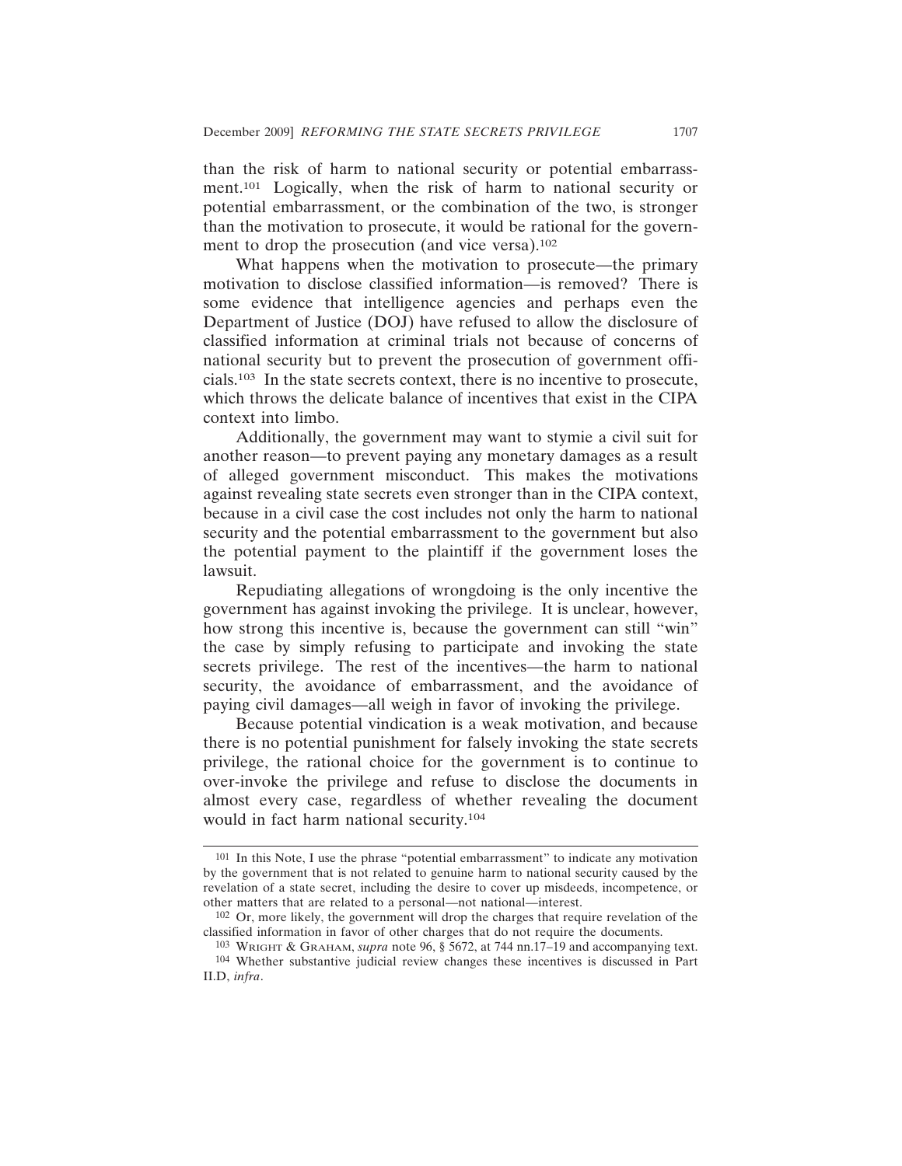than the risk of harm to national security or potential embarrassment.101 Logically, when the risk of harm to national security or potential embarrassment, or the combination of the two, is stronger than the motivation to prosecute, it would be rational for the government to drop the prosecution (and vice versa).<sup>102</sup>

What happens when the motivation to prosecute—the primary motivation to disclose classified information—is removed? There is some evidence that intelligence agencies and perhaps even the Department of Justice (DOJ) have refused to allow the disclosure of classified information at criminal trials not because of concerns of national security but to prevent the prosecution of government officials.103 In the state secrets context, there is no incentive to prosecute, which throws the delicate balance of incentives that exist in the CIPA context into limbo.

Additionally, the government may want to stymie a civil suit for another reason—to prevent paying any monetary damages as a result of alleged government misconduct. This makes the motivations against revealing state secrets even stronger than in the CIPA context, because in a civil case the cost includes not only the harm to national security and the potential embarrassment to the government but also the potential payment to the plaintiff if the government loses the lawsuit.

Repudiating allegations of wrongdoing is the only incentive the government has against invoking the privilege. It is unclear, however, how strong this incentive is, because the government can still "win" the case by simply refusing to participate and invoking the state secrets privilege. The rest of the incentives—the harm to national security, the avoidance of embarrassment, and the avoidance of paying civil damages—all weigh in favor of invoking the privilege.

Because potential vindication is a weak motivation, and because there is no potential punishment for falsely invoking the state secrets privilege, the rational choice for the government is to continue to over-invoke the privilege and refuse to disclose the documents in almost every case, regardless of whether revealing the document would in fact harm national security.104

<sup>101</sup> In this Note, I use the phrase "potential embarrassment" to indicate any motivation by the government that is not related to genuine harm to national security caused by the revelation of a state secret, including the desire to cover up misdeeds, incompetence, or other matters that are related to a personal—not national—interest.

<sup>102</sup> Or, more likely, the government will drop the charges that require revelation of the classified information in favor of other charges that do not require the documents.

<sup>103</sup> WRIGHT & GRAHAM, *supra* note 96, § 5672, at 744 nn.17–19 and accompanying text. 104 Whether substantive judicial review changes these incentives is discussed in Part II.D, *infra*.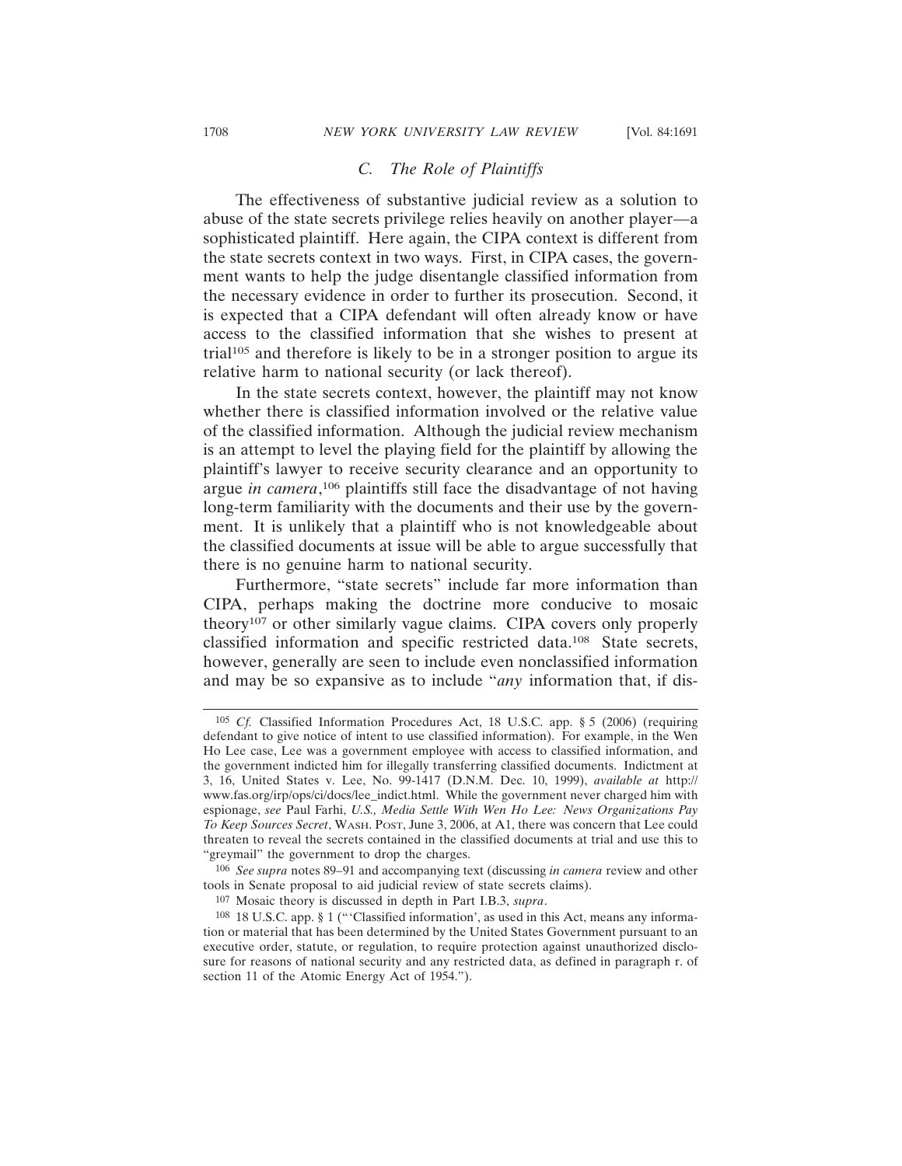### *C. The Role of Plaintiffs*

The effectiveness of substantive judicial review as a solution to abuse of the state secrets privilege relies heavily on another player—a sophisticated plaintiff. Here again, the CIPA context is different from the state secrets context in two ways. First, in CIPA cases, the government wants to help the judge disentangle classified information from the necessary evidence in order to further its prosecution. Second, it is expected that a CIPA defendant will often already know or have access to the classified information that she wishes to present at trial105 and therefore is likely to be in a stronger position to argue its relative harm to national security (or lack thereof).

In the state secrets context, however, the plaintiff may not know whether there is classified information involved or the relative value of the classified information. Although the judicial review mechanism is an attempt to level the playing field for the plaintiff by allowing the plaintiff's lawyer to receive security clearance and an opportunity to argue *in camera*, 106 plaintiffs still face the disadvantage of not having long-term familiarity with the documents and their use by the government. It is unlikely that a plaintiff who is not knowledgeable about the classified documents at issue will be able to argue successfully that there is no genuine harm to national security.

Furthermore, "state secrets" include far more information than CIPA, perhaps making the doctrine more conducive to mosaic theory107 or other similarly vague claims. CIPA covers only properly classified information and specific restricted data.108 State secrets, however, generally are seen to include even nonclassified information and may be so expansive as to include "*any* information that, if dis-

<sup>105</sup> *Cf.* Classified Information Procedures Act, 18 U.S.C. app. § 5 (2006) (requiring defendant to give notice of intent to use classified information). For example, in the Wen Ho Lee case, Lee was a government employee with access to classified information, and the government indicted him for illegally transferring classified documents. Indictment at 3, 16, United States v. Lee, No. 99-1417 (D.N.M. Dec. 10, 1999), *available at* http:// www.fas.org/irp/ops/ci/docs/lee\_indict.html. While the government never charged him with espionage, *see* Paul Farhi, *U.S., Media Settle With Wen Ho Lee: News Organizations Pay To Keep Sources Secret*, WASH. POST, June 3, 2006, at A1, there was concern that Lee could threaten to reveal the secrets contained in the classified documents at trial and use this to "greymail" the government to drop the charges.

<sup>106</sup> *See supra* notes 89–91 and accompanying text (discussing *in camera* review and other tools in Senate proposal to aid judicial review of state secrets claims).

<sup>107</sup> Mosaic theory is discussed in depth in Part I.B.3, *supra*.

<sup>108</sup> 18 U.S.C. app. § 1 ("'Classified information', as used in this Act, means any information or material that has been determined by the United States Government pursuant to an executive order, statute, or regulation, to require protection against unauthorized disclosure for reasons of national security and any restricted data, as defined in paragraph r. of section 11 of the Atomic Energy Act of 1954.").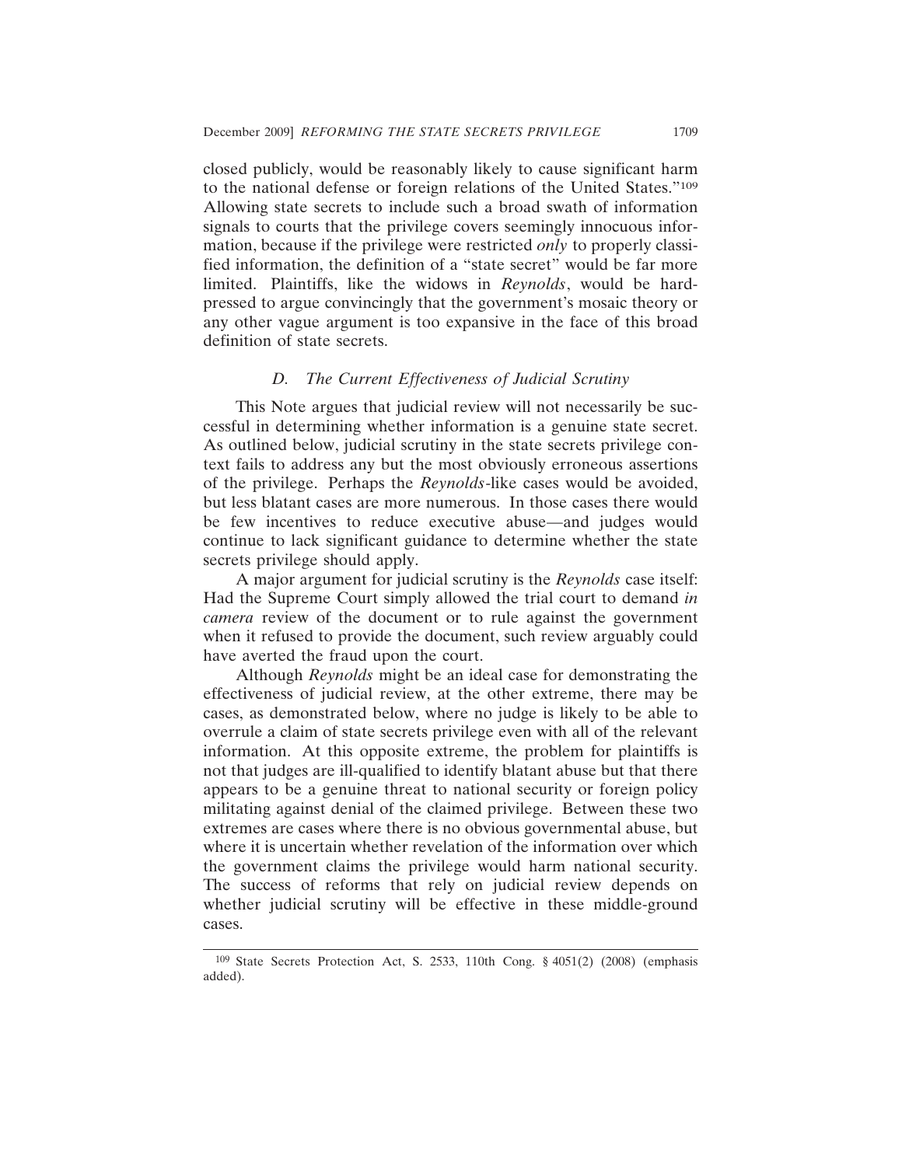closed publicly, would be reasonably likely to cause significant harm to the national defense or foreign relations of the United States."109 Allowing state secrets to include such a broad swath of information signals to courts that the privilege covers seemingly innocuous information, because if the privilege were restricted *only* to properly classified information, the definition of a "state secret" would be far more limited. Plaintiffs, like the widows in *Reynolds*, would be hardpressed to argue convincingly that the government's mosaic theory or any other vague argument is too expansive in the face of this broad definition of state secrets.

#### *D. The Current Effectiveness of Judicial Scrutiny*

This Note argues that judicial review will not necessarily be successful in determining whether information is a genuine state secret. As outlined below, judicial scrutiny in the state secrets privilege context fails to address any but the most obviously erroneous assertions of the privilege. Perhaps the *Reynolds*-like cases would be avoided, but less blatant cases are more numerous. In those cases there would be few incentives to reduce executive abuse—and judges would continue to lack significant guidance to determine whether the state secrets privilege should apply.

A major argument for judicial scrutiny is the *Reynolds* case itself: Had the Supreme Court simply allowed the trial court to demand *in camera* review of the document or to rule against the government when it refused to provide the document, such review arguably could have averted the fraud upon the court.

Although *Reynolds* might be an ideal case for demonstrating the effectiveness of judicial review, at the other extreme, there may be cases, as demonstrated below, where no judge is likely to be able to overrule a claim of state secrets privilege even with all of the relevant information. At this opposite extreme, the problem for plaintiffs is not that judges are ill-qualified to identify blatant abuse but that there appears to be a genuine threat to national security or foreign policy militating against denial of the claimed privilege. Between these two extremes are cases where there is no obvious governmental abuse, but where it is uncertain whether revelation of the information over which the government claims the privilege would harm national security. The success of reforms that rely on judicial review depends on whether judicial scrutiny will be effective in these middle-ground cases.

<sup>109</sup> State Secrets Protection Act, S. 2533, 110th Cong. § 4051(2) (2008) (emphasis added).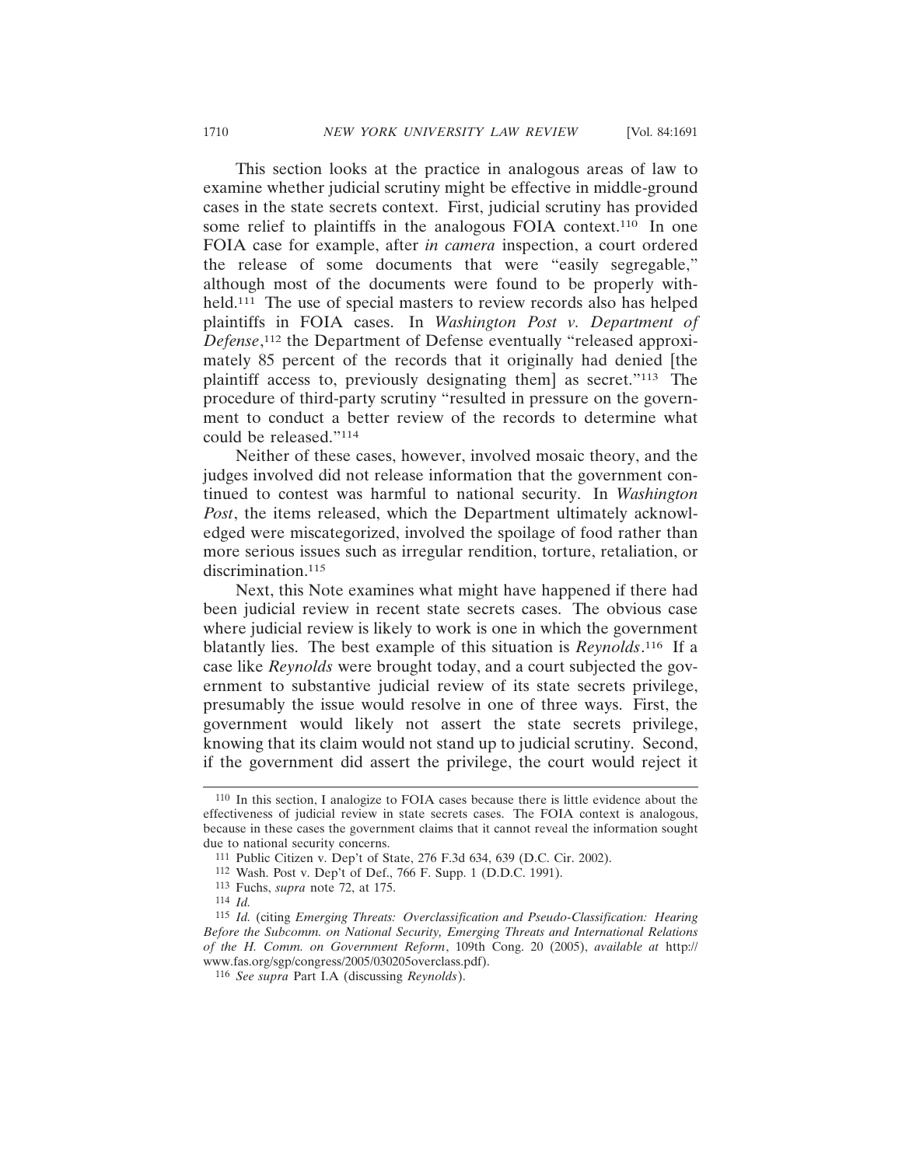This section looks at the practice in analogous areas of law to examine whether judicial scrutiny might be effective in middle-ground cases in the state secrets context. First, judicial scrutiny has provided some relief to plaintiffs in the analogous FOIA context.<sup>110</sup> In one FOIA case for example, after *in camera* inspection, a court ordered the release of some documents that were "easily segregable," although most of the documents were found to be properly withheld.<sup>111</sup> The use of special masters to review records also has helped plaintiffs in FOIA cases. In *Washington Post v. Department of Defense*, 112 the Department of Defense eventually "released approximately 85 percent of the records that it originally had denied [the plaintiff access to, previously designating them] as secret."113 The procedure of third-party scrutiny "resulted in pressure on the government to conduct a better review of the records to determine what could be released."114

Neither of these cases, however, involved mosaic theory, and the judges involved did not release information that the government continued to contest was harmful to national security. In *Washington Post*, the items released, which the Department ultimately acknowledged were miscategorized, involved the spoilage of food rather than more serious issues such as irregular rendition, torture, retaliation, or discrimination.115

Next, this Note examines what might have happened if there had been judicial review in recent state secrets cases. The obvious case where judicial review is likely to work is one in which the government blatantly lies. The best example of this situation is *Reynolds*. 116 If a case like *Reynolds* were brought today, and a court subjected the government to substantive judicial review of its state secrets privilege, presumably the issue would resolve in one of three ways. First, the government would likely not assert the state secrets privilege, knowing that its claim would not stand up to judicial scrutiny. Second, if the government did assert the privilege, the court would reject it

<sup>110</sup> In this section, I analogize to FOIA cases because there is little evidence about the effectiveness of judicial review in state secrets cases. The FOIA context is analogous, because in these cases the government claims that it cannot reveal the information sought due to national security concerns.

<sup>111</sup> Public Citizen v. Dep't of State, 276 F.3d 634, 639 (D.C. Cir. 2002).

<sup>112</sup> Wash. Post v. Dep't of Def., 766 F. Supp. 1 (D.D.C. 1991).

<sup>113</sup> Fuchs, *supra* note 72, at 175.

<sup>114</sup> *Id.*

<sup>115</sup> *Id.* (citing *Emerging Threats: Overclassification and Pseudo-Classification: Hearing Before the Subcomm. on National Security, Emerging Threats and International Relations of the H. Comm. on Government Reform*, 109th Cong. 20 (2005), *available at* http:// www.fas.org/sgp/congress/2005/030205overclass.pdf).

<sup>116</sup> *See supra* Part I.A (discussing *Reynolds*).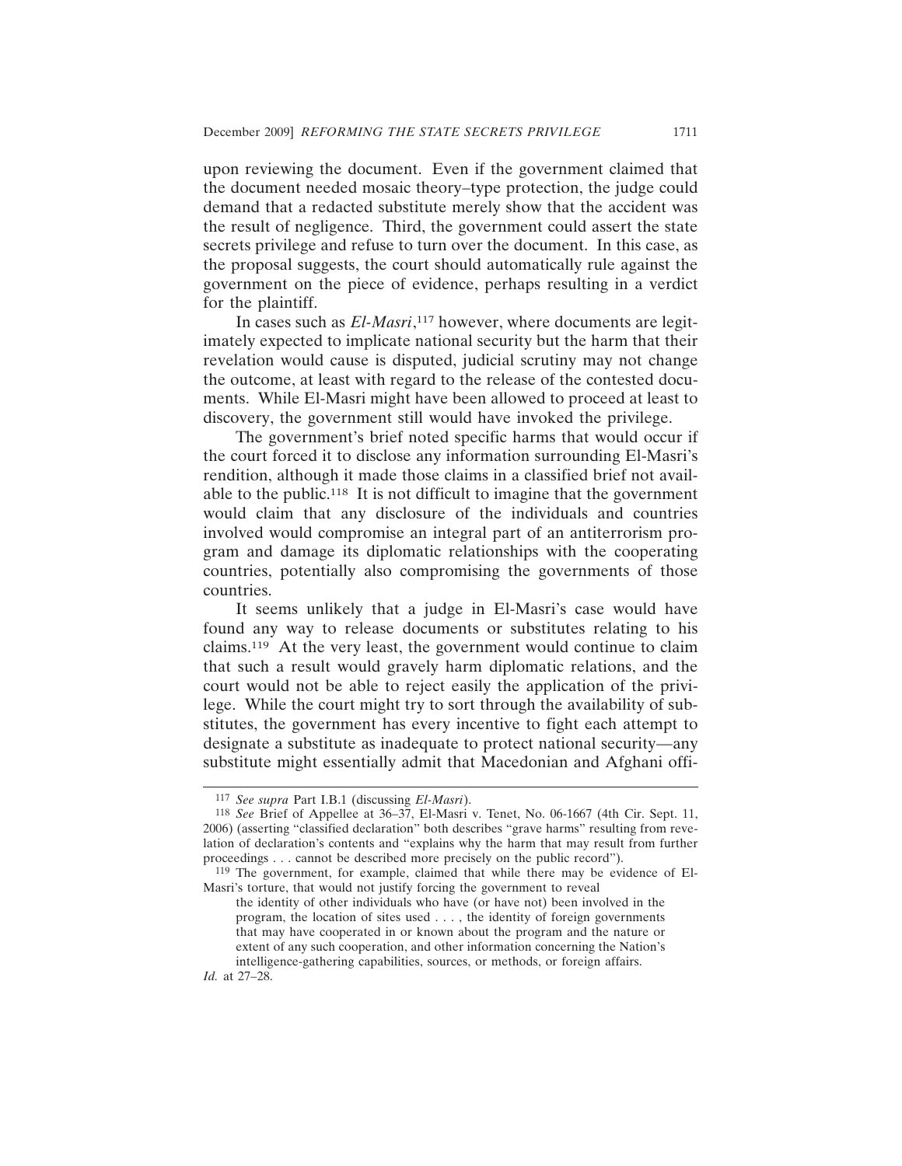upon reviewing the document. Even if the government claimed that the document needed mosaic theory–type protection, the judge could demand that a redacted substitute merely show that the accident was the result of negligence. Third, the government could assert the state secrets privilege and refuse to turn over the document. In this case, as the proposal suggests, the court should automatically rule against the government on the piece of evidence, perhaps resulting in a verdict for the plaintiff.

In cases such as *El-Masri*, 117 however, where documents are legitimately expected to implicate national security but the harm that their revelation would cause is disputed, judicial scrutiny may not change the outcome, at least with regard to the release of the contested documents. While El-Masri might have been allowed to proceed at least to discovery, the government still would have invoked the privilege.

The government's brief noted specific harms that would occur if the court forced it to disclose any information surrounding El-Masri's rendition, although it made those claims in a classified brief not available to the public.118 It is not difficult to imagine that the government would claim that any disclosure of the individuals and countries involved would compromise an integral part of an antiterrorism program and damage its diplomatic relationships with the cooperating countries, potentially also compromising the governments of those countries.

It seems unlikely that a judge in El-Masri's case would have found any way to release documents or substitutes relating to his claims.119 At the very least, the government would continue to claim that such a result would gravely harm diplomatic relations, and the court would not be able to reject easily the application of the privilege. While the court might try to sort through the availability of substitutes, the government has every incentive to fight each attempt to designate a substitute as inadequate to protect national security—any substitute might essentially admit that Macedonian and Afghani offi-

*Id.* at 27–28.

<sup>117</sup> *See supra* Part I.B.1 (discussing *El-Masri*).

<sup>118</sup> *See* Brief of Appellee at 36–37, El-Masri v. Tenet, No. 06-1667 (4th Cir. Sept. 11, 2006) (asserting "classified declaration" both describes "grave harms" resulting from revelation of declaration's contents and "explains why the harm that may result from further proceedings . . . cannot be described more precisely on the public record").

<sup>119</sup> The government, for example, claimed that while there may be evidence of El-Masri's torture, that would not justify forcing the government to reveal

the identity of other individuals who have (or have not) been involved in the program, the location of sites used . . . , the identity of foreign governments that may have cooperated in or known about the program and the nature or extent of any such cooperation, and other information concerning the Nation's intelligence-gathering capabilities, sources, or methods, or foreign affairs.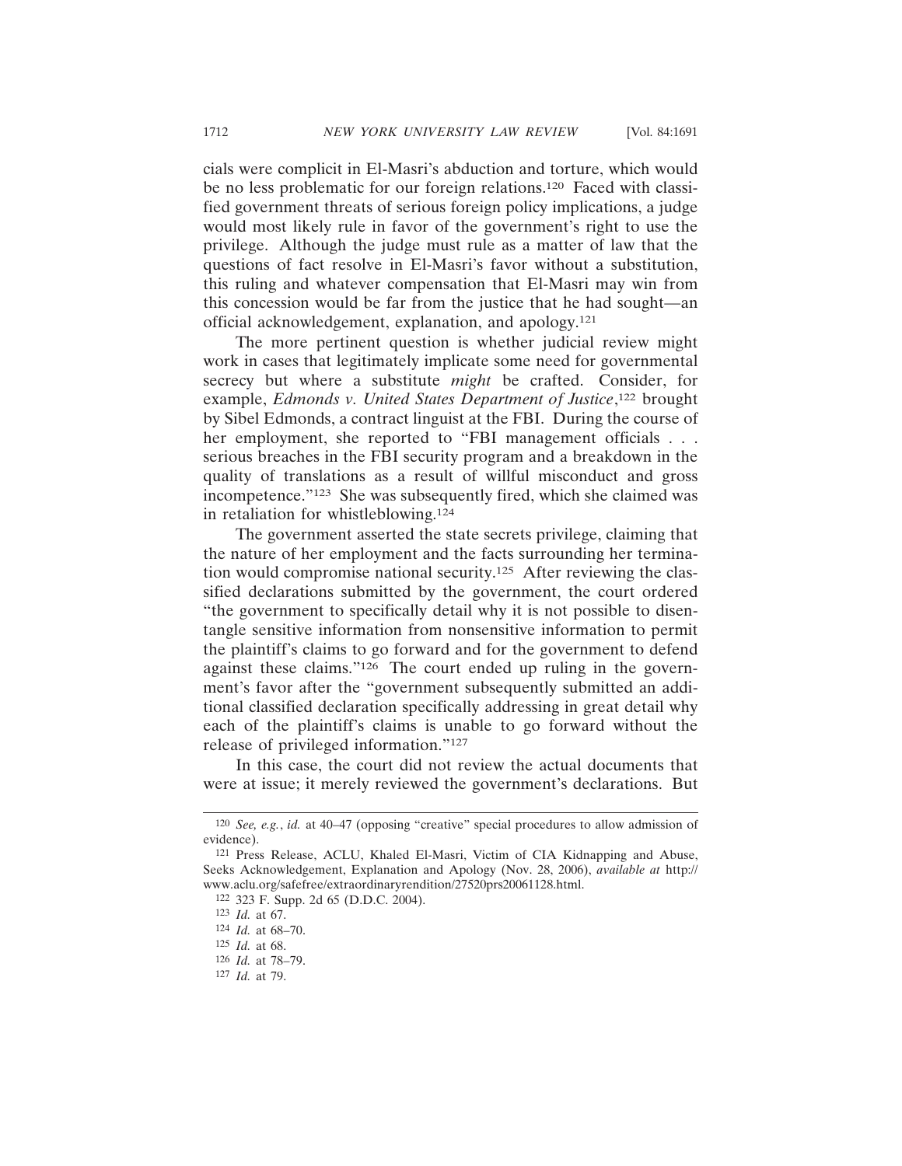cials were complicit in El-Masri's abduction and torture, which would be no less problematic for our foreign relations.120 Faced with classified government threats of serious foreign policy implications, a judge would most likely rule in favor of the government's right to use the privilege. Although the judge must rule as a matter of law that the questions of fact resolve in El-Masri's favor without a substitution, this ruling and whatever compensation that El-Masri may win from this concession would be far from the justice that he had sought—an official acknowledgement, explanation, and apology.121

The more pertinent question is whether judicial review might work in cases that legitimately implicate some need for governmental secrecy but where a substitute *might* be crafted. Consider, for example, *Edmonds v. United States Department of Justice*,<sup>122</sup> brought by Sibel Edmonds, a contract linguist at the FBI. During the course of her employment, she reported to "FBI management officials . . . serious breaches in the FBI security program and a breakdown in the quality of translations as a result of willful misconduct and gross incompetence."123 She was subsequently fired, which she claimed was in retaliation for whistleblowing.124

The government asserted the state secrets privilege, claiming that the nature of her employment and the facts surrounding her termination would compromise national security.125 After reviewing the classified declarations submitted by the government, the court ordered "the government to specifically detail why it is not possible to disentangle sensitive information from nonsensitive information to permit the plaintiff's claims to go forward and for the government to defend against these claims."126 The court ended up ruling in the government's favor after the "government subsequently submitted an additional classified declaration specifically addressing in great detail why each of the plaintiff's claims is unable to go forward without the release of privileged information."127

In this case, the court did not review the actual documents that were at issue; it merely reviewed the government's declarations. But

<sup>120</sup> *See, e.g.*, *id.* at 40–47 (opposing "creative" special procedures to allow admission of evidence).

<sup>121</sup> Press Release, ACLU, Khaled El-Masri, Victim of CIA Kidnapping and Abuse, Seeks Acknowledgement, Explanation and Apology (Nov. 28, 2006), *available at* http:// www.aclu.org/safefree/extraordinaryrendition/27520prs20061128.html.

<sup>122</sup> 323 F. Supp. 2d 65 (D.D.C. 2004).

<sup>123</sup> *Id.* at 67.

<sup>124</sup> *Id.* at 68–70.

<sup>125</sup> *Id.* at 68.

<sup>126</sup> *Id.* at 78–79.

<sup>127</sup> *Id.* at 79.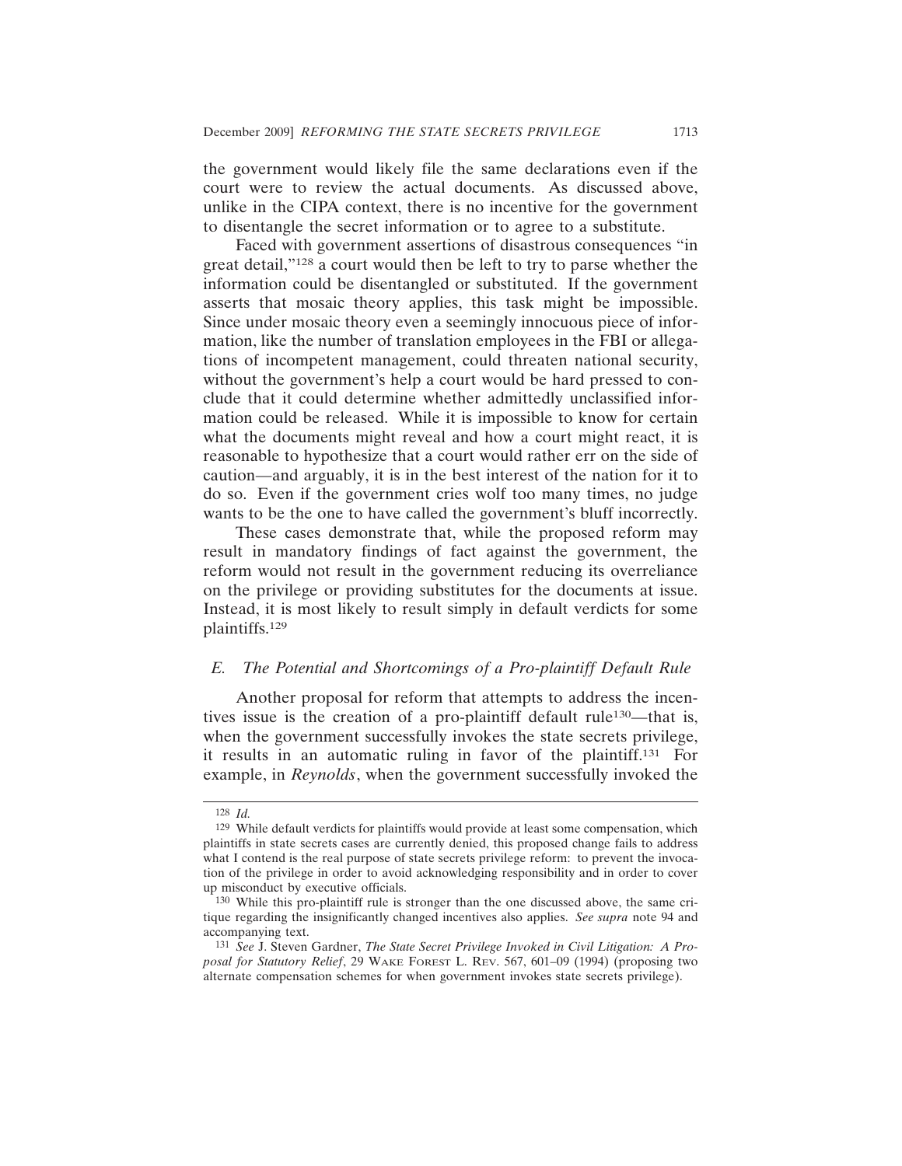the government would likely file the same declarations even if the court were to review the actual documents. As discussed above, unlike in the CIPA context, there is no incentive for the government to disentangle the secret information or to agree to a substitute.

Faced with government assertions of disastrous consequences "in great detail,"128 a court would then be left to try to parse whether the information could be disentangled or substituted. If the government asserts that mosaic theory applies, this task might be impossible. Since under mosaic theory even a seemingly innocuous piece of information, like the number of translation employees in the FBI or allegations of incompetent management, could threaten national security, without the government's help a court would be hard pressed to conclude that it could determine whether admittedly unclassified information could be released. While it is impossible to know for certain what the documents might reveal and how a court might react, it is reasonable to hypothesize that a court would rather err on the side of caution—and arguably, it is in the best interest of the nation for it to do so. Even if the government cries wolf too many times, no judge wants to be the one to have called the government's bluff incorrectly.

These cases demonstrate that, while the proposed reform may result in mandatory findings of fact against the government, the reform would not result in the government reducing its overreliance on the privilege or providing substitutes for the documents at issue. Instead, it is most likely to result simply in default verdicts for some plaintiffs.129

### *E. The Potential and Shortcomings of a Pro-plaintiff Default Rule*

Another proposal for reform that attempts to address the incentives issue is the creation of a pro-plaintiff default rule<sup>130</sup>—that is, when the government successfully invokes the state secrets privilege, it results in an automatic ruling in favor of the plaintiff.131 For example, in *Reynolds*, when the government successfully invoked the

<sup>128</sup> *Id.*

<sup>129</sup> While default verdicts for plaintiffs would provide at least some compensation, which plaintiffs in state secrets cases are currently denied, this proposed change fails to address what I contend is the real purpose of state secrets privilege reform: to prevent the invocation of the privilege in order to avoid acknowledging responsibility and in order to cover up misconduct by executive officials.

<sup>130</sup> While this pro-plaintiff rule is stronger than the one discussed above, the same critique regarding the insignificantly changed incentives also applies. *See supra* note 94 and accompanying text.

<sup>131</sup> *See* J. Steven Gardner, *The State Secret Privilege Invoked in Civil Litigation: A Proposal for Statutory Relief*, 29 WAKE FOREST L. REV. 567, 601–09 (1994) (proposing two alternate compensation schemes for when government invokes state secrets privilege).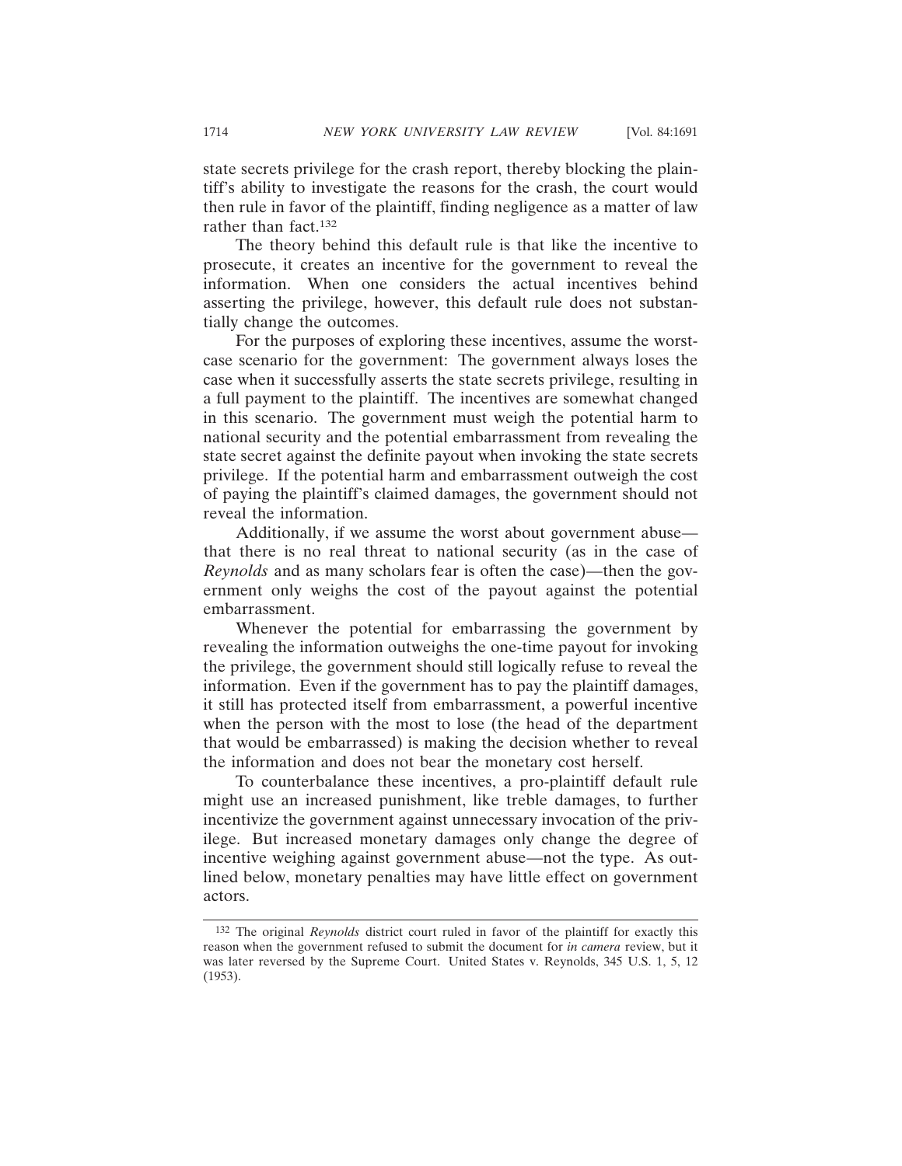state secrets privilege for the crash report, thereby blocking the plaintiff's ability to investigate the reasons for the crash, the court would then rule in favor of the plaintiff, finding negligence as a matter of law rather than fact.132

The theory behind this default rule is that like the incentive to prosecute, it creates an incentive for the government to reveal the information. When one considers the actual incentives behind asserting the privilege, however, this default rule does not substantially change the outcomes.

For the purposes of exploring these incentives, assume the worstcase scenario for the government: The government always loses the case when it successfully asserts the state secrets privilege, resulting in a full payment to the plaintiff. The incentives are somewhat changed in this scenario. The government must weigh the potential harm to national security and the potential embarrassment from revealing the state secret against the definite payout when invoking the state secrets privilege. If the potential harm and embarrassment outweigh the cost of paying the plaintiff's claimed damages, the government should not reveal the information.

Additionally, if we assume the worst about government abuse that there is no real threat to national security (as in the case of *Reynolds* and as many scholars fear is often the case)—then the government only weighs the cost of the payout against the potential embarrassment.

Whenever the potential for embarrassing the government by revealing the information outweighs the one-time payout for invoking the privilege, the government should still logically refuse to reveal the information. Even if the government has to pay the plaintiff damages, it still has protected itself from embarrassment, a powerful incentive when the person with the most to lose (the head of the department that would be embarrassed) is making the decision whether to reveal the information and does not bear the monetary cost herself.

To counterbalance these incentives, a pro-plaintiff default rule might use an increased punishment, like treble damages, to further incentivize the government against unnecessary invocation of the privilege. But increased monetary damages only change the degree of incentive weighing against government abuse—not the type. As outlined below, monetary penalties may have little effect on government actors.

<sup>132</sup> The original *Reynolds* district court ruled in favor of the plaintiff for exactly this reason when the government refused to submit the document for *in camera* review, but it was later reversed by the Supreme Court. United States v. Reynolds, 345 U.S. 1, 5, 12 (1953).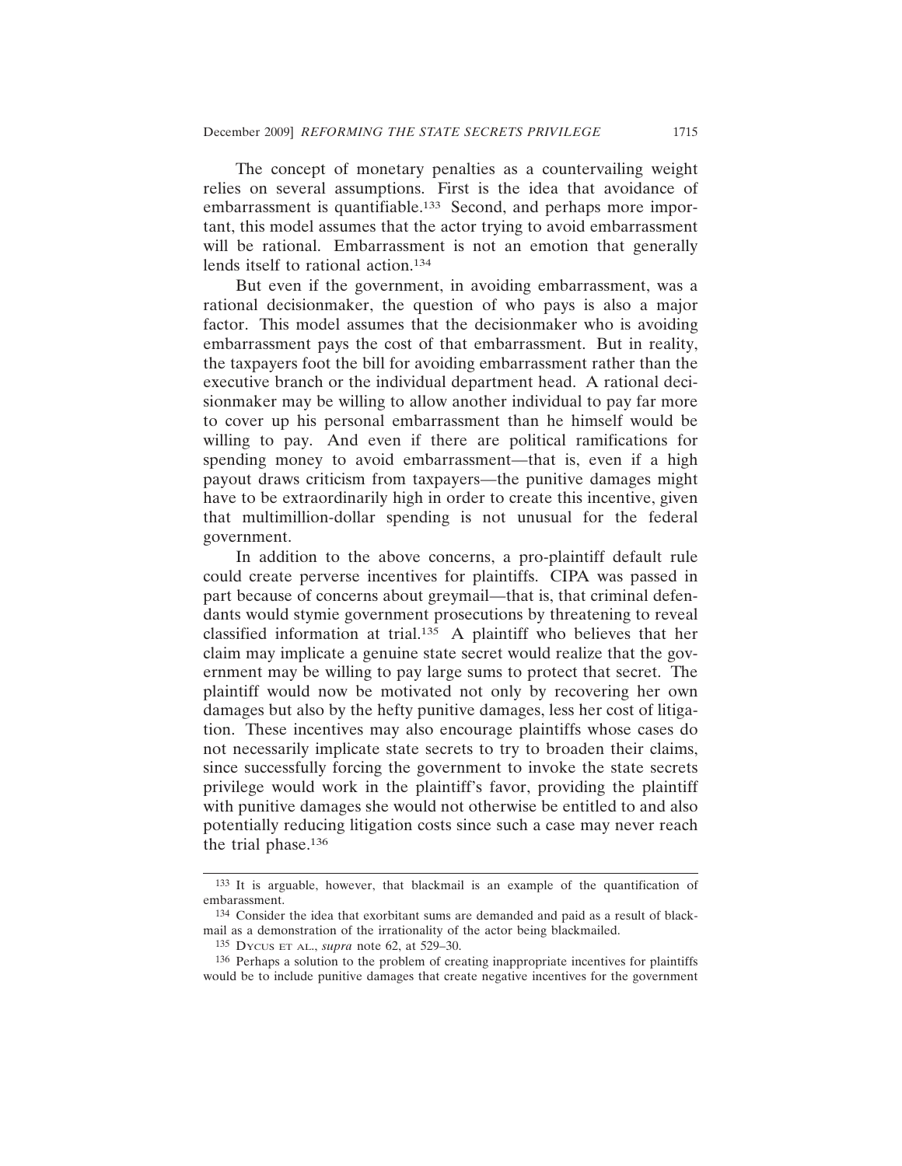The concept of monetary penalties as a countervailing weight relies on several assumptions. First is the idea that avoidance of embarrassment is quantifiable.<sup>133</sup> Second, and perhaps more important, this model assumes that the actor trying to avoid embarrassment will be rational. Embarrassment is not an emotion that generally lends itself to rational action.134

But even if the government, in avoiding embarrassment, was a rational decisionmaker, the question of who pays is also a major factor. This model assumes that the decisionmaker who is avoiding embarrassment pays the cost of that embarrassment. But in reality, the taxpayers foot the bill for avoiding embarrassment rather than the executive branch or the individual department head. A rational decisionmaker may be willing to allow another individual to pay far more to cover up his personal embarrassment than he himself would be willing to pay. And even if there are political ramifications for spending money to avoid embarrassment—that is, even if a high payout draws criticism from taxpayers—the punitive damages might have to be extraordinarily high in order to create this incentive, given that multimillion-dollar spending is not unusual for the federal government.

In addition to the above concerns, a pro-plaintiff default rule could create perverse incentives for plaintiffs. CIPA was passed in part because of concerns about greymail—that is, that criminal defendants would stymie government prosecutions by threatening to reveal classified information at trial.135 A plaintiff who believes that her claim may implicate a genuine state secret would realize that the government may be willing to pay large sums to protect that secret. The plaintiff would now be motivated not only by recovering her own damages but also by the hefty punitive damages, less her cost of litigation. These incentives may also encourage plaintiffs whose cases do not necessarily implicate state secrets to try to broaden their claims, since successfully forcing the government to invoke the state secrets privilege would work in the plaintiff's favor, providing the plaintiff with punitive damages she would not otherwise be entitled to and also potentially reducing litigation costs since such a case may never reach the trial phase.136

<sup>133</sup> It is arguable, however, that blackmail is an example of the quantification of embarassment.

<sup>134</sup> Consider the idea that exorbitant sums are demanded and paid as a result of blackmail as a demonstration of the irrationality of the actor being blackmailed.

<sup>135</sup> DYCUS ET AL., *supra* note 62, at 529–30.

<sup>136</sup> Perhaps a solution to the problem of creating inappropriate incentives for plaintiffs would be to include punitive damages that create negative incentives for the government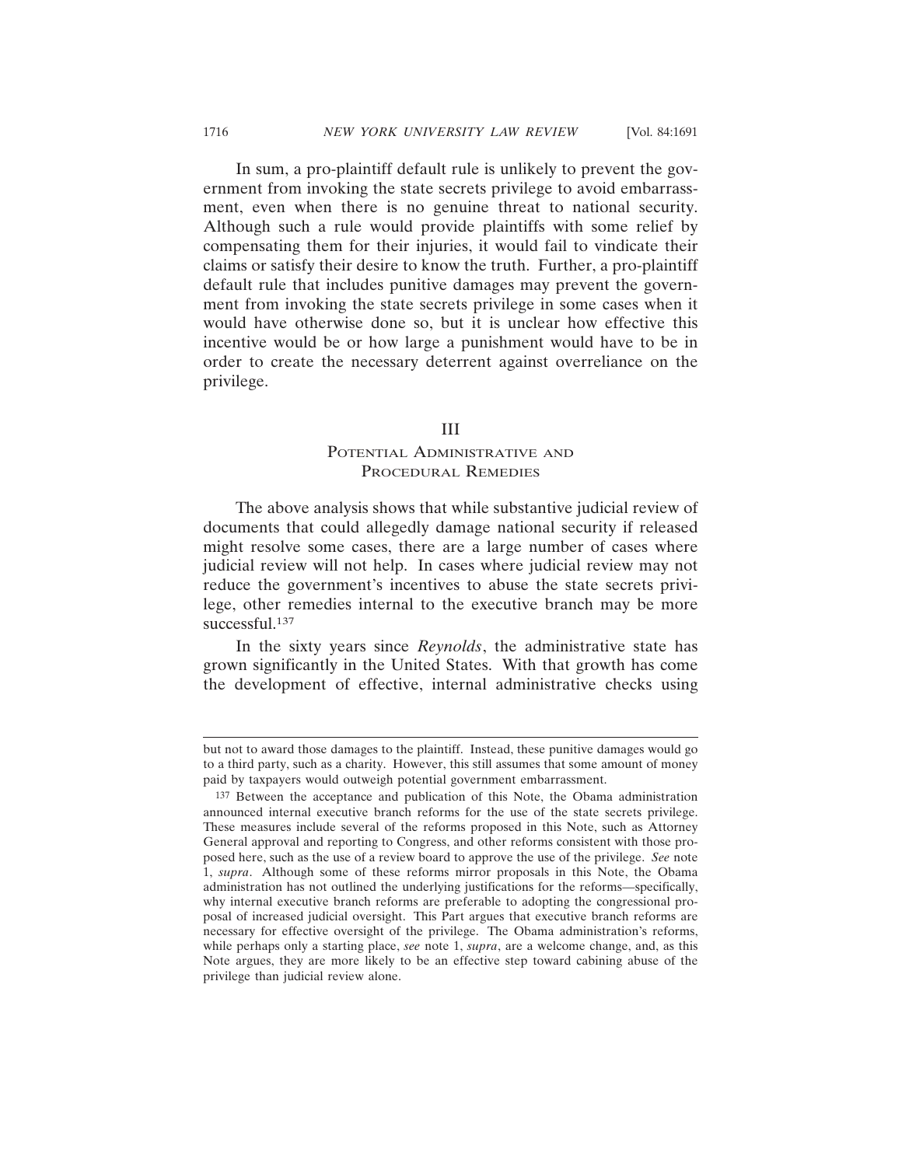In sum, a pro-plaintiff default rule is unlikely to prevent the government from invoking the state secrets privilege to avoid embarrassment, even when there is no genuine threat to national security. Although such a rule would provide plaintiffs with some relief by compensating them for their injuries, it would fail to vindicate their claims or satisfy their desire to know the truth. Further, a pro-plaintiff default rule that includes punitive damages may prevent the government from invoking the state secrets privilege in some cases when it would have otherwise done so, but it is unclear how effective this incentive would be or how large a punishment would have to be in order to create the necessary deterrent against overreliance on the privilege.

#### III

# POTENTIAL ADMINISTRATIVE AND PROCEDURAL REMEDIES

The above analysis shows that while substantive judicial review of documents that could allegedly damage national security if released might resolve some cases, there are a large number of cases where judicial review will not help. In cases where judicial review may not reduce the government's incentives to abuse the state secrets privilege, other remedies internal to the executive branch may be more successful.<sup>137</sup>

In the sixty years since *Reynolds*, the administrative state has grown significantly in the United States. With that growth has come the development of effective, internal administrative checks using

but not to award those damages to the plaintiff. Instead, these punitive damages would go to a third party, such as a charity. However, this still assumes that some amount of money paid by taxpayers would outweigh potential government embarrassment.

<sup>137</sup> Between the acceptance and publication of this Note, the Obama administration announced internal executive branch reforms for the use of the state secrets privilege. These measures include several of the reforms proposed in this Note, such as Attorney General approval and reporting to Congress, and other reforms consistent with those proposed here, such as the use of a review board to approve the use of the privilege. *See* note 1, *supra*. Although some of these reforms mirror proposals in this Note, the Obama administration has not outlined the underlying justifications for the reforms—specifically, why internal executive branch reforms are preferable to adopting the congressional proposal of increased judicial oversight. This Part argues that executive branch reforms are necessary for effective oversight of the privilege. The Obama administration's reforms, while perhaps only a starting place, *see* note 1, *supra*, are a welcome change, and, as this Note argues, they are more likely to be an effective step toward cabining abuse of the privilege than judicial review alone.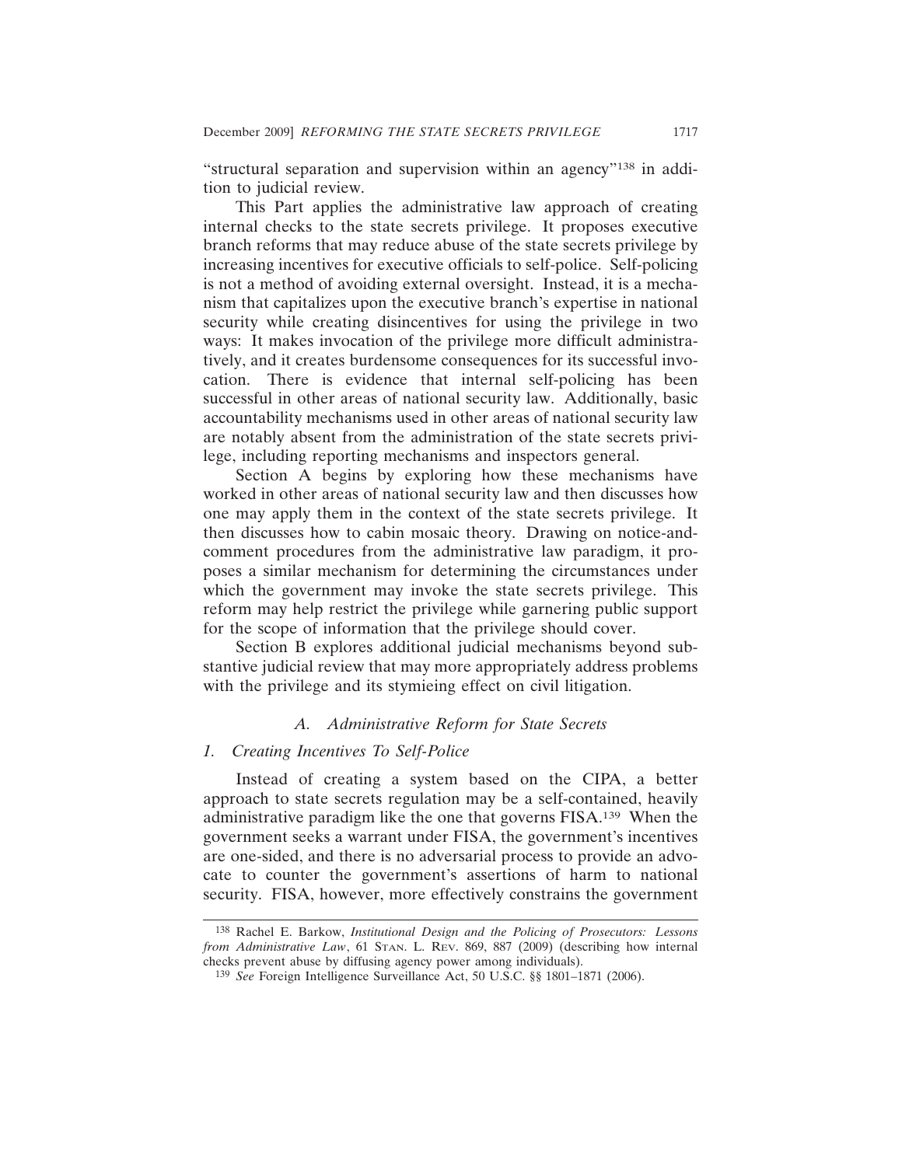"structural separation and supervision within an agency"138 in addition to judicial review.

This Part applies the administrative law approach of creating internal checks to the state secrets privilege. It proposes executive branch reforms that may reduce abuse of the state secrets privilege by increasing incentives for executive officials to self-police. Self-policing is not a method of avoiding external oversight. Instead, it is a mechanism that capitalizes upon the executive branch's expertise in national security while creating disincentives for using the privilege in two ways: It makes invocation of the privilege more difficult administratively, and it creates burdensome consequences for its successful invocation. There is evidence that internal self-policing has been successful in other areas of national security law. Additionally, basic accountability mechanisms used in other areas of national security law are notably absent from the administration of the state secrets privilege, including reporting mechanisms and inspectors general.

Section A begins by exploring how these mechanisms have worked in other areas of national security law and then discusses how one may apply them in the context of the state secrets privilege. It then discusses how to cabin mosaic theory. Drawing on notice-andcomment procedures from the administrative law paradigm, it proposes a similar mechanism for determining the circumstances under which the government may invoke the state secrets privilege. This reform may help restrict the privilege while garnering public support for the scope of information that the privilege should cover.

Section B explores additional judicial mechanisms beyond substantive judicial review that may more appropriately address problems with the privilege and its stymieing effect on civil litigation.

#### *A. Administrative Reform for State Secrets*

#### *1. Creating Incentives To Self-Police*

Instead of creating a system based on the CIPA, a better approach to state secrets regulation may be a self-contained, heavily administrative paradigm like the one that governs FISA.139 When the government seeks a warrant under FISA, the government's incentives are one-sided, and there is no adversarial process to provide an advocate to counter the government's assertions of harm to national security. FISA, however, more effectively constrains the government

<sup>138</sup> Rachel E. Barkow, *Institutional Design and the Policing of Prosecutors: Lessons from Administrative Law*, 61 STAN. L. REV. 869, 887 (2009) (describing how internal checks prevent abuse by diffusing agency power among individuals).

<sup>139</sup> *See* Foreign Intelligence Surveillance Act, 50 U.S.C. §§ 1801–1871 (2006).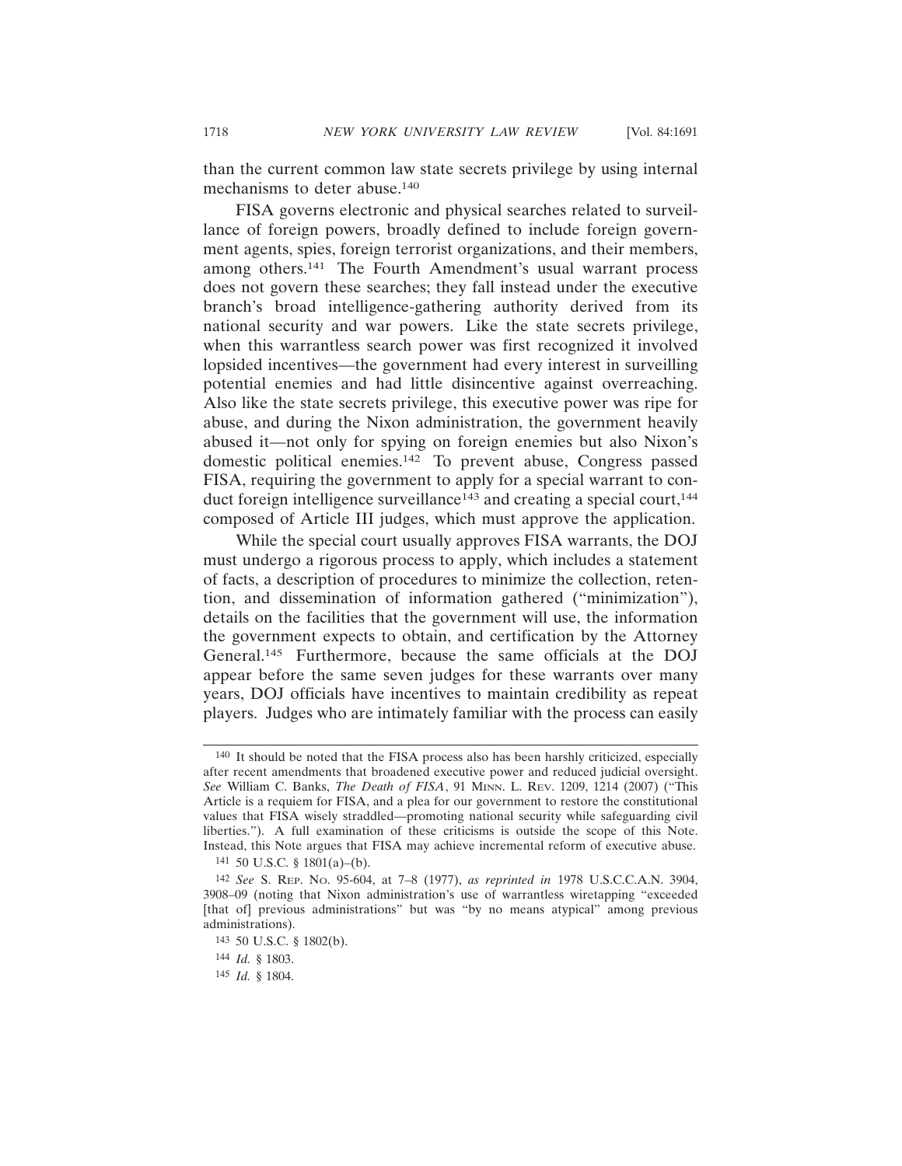than the current common law state secrets privilege by using internal mechanisms to deter abuse.140

FISA governs electronic and physical searches related to surveillance of foreign powers, broadly defined to include foreign government agents, spies, foreign terrorist organizations, and their members, among others.141 The Fourth Amendment's usual warrant process does not govern these searches; they fall instead under the executive branch's broad intelligence-gathering authority derived from its national security and war powers. Like the state secrets privilege, when this warrantless search power was first recognized it involved lopsided incentives—the government had every interest in surveilling potential enemies and had little disincentive against overreaching. Also like the state secrets privilege, this executive power was ripe for abuse, and during the Nixon administration, the government heavily abused it—not only for spying on foreign enemies but also Nixon's domestic political enemies.142 To prevent abuse, Congress passed FISA, requiring the government to apply for a special warrant to conduct foreign intelligence surveillance<sup>143</sup> and creating a special court,<sup>144</sup> composed of Article III judges, which must approve the application.

While the special court usually approves FISA warrants, the DOJ must undergo a rigorous process to apply, which includes a statement of facts, a description of procedures to minimize the collection, retention, and dissemination of information gathered ("minimization"), details on the facilities that the government will use, the information the government expects to obtain, and certification by the Attorney General.145 Furthermore, because the same officials at the DOJ appear before the same seven judges for these warrants over many years, DOJ officials have incentives to maintain credibility as repeat players. Judges who are intimately familiar with the process can easily

<sup>140</sup> It should be noted that the FISA process also has been harshly criticized, especially after recent amendments that broadened executive power and reduced judicial oversight. *See* William C. Banks, *The Death of FISA*, 91 MINN. L. REV. 1209, 1214 (2007) ("This Article is a requiem for FISA, and a plea for our government to restore the constitutional values that FISA wisely straddled—promoting national security while safeguarding civil liberties."). A full examination of these criticisms is outside the scope of this Note. Instead, this Note argues that FISA may achieve incremental reform of executive abuse.

<sup>141</sup> 50 U.S.C. § 1801(a)–(b).

<sup>142</sup> *See* S. REP. NO. 95-604, at 7–8 (1977), *as reprinted in* 1978 U.S.C.C.A.N. 3904, 3908–09 (noting that Nixon administration's use of warrantless wiretapping "exceeded [that of] previous administrations" but was "by no means atypical" among previous administrations).

<sup>143</sup> 50 U.S.C. § 1802(b).

<sup>144</sup> *Id.* § 1803.

<sup>145</sup> *Id.* § 1804.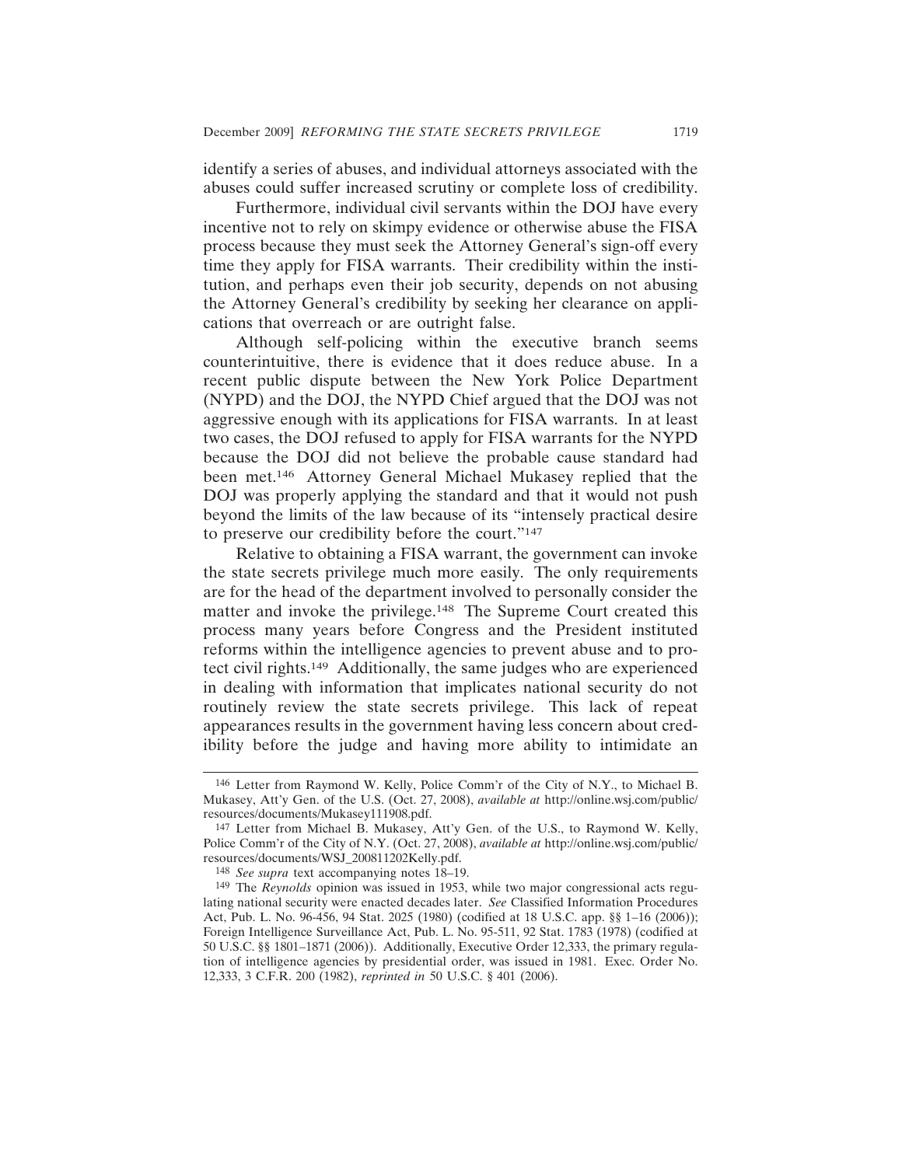identify a series of abuses, and individual attorneys associated with the abuses could suffer increased scrutiny or complete loss of credibility.

Furthermore, individual civil servants within the DOJ have every incentive not to rely on skimpy evidence or otherwise abuse the FISA process because they must seek the Attorney General's sign-off every time they apply for FISA warrants. Their credibility within the institution, and perhaps even their job security, depends on not abusing the Attorney General's credibility by seeking her clearance on applications that overreach or are outright false.

Although self-policing within the executive branch seems counterintuitive, there is evidence that it does reduce abuse. In a recent public dispute between the New York Police Department (NYPD) and the DOJ, the NYPD Chief argued that the DOJ was not aggressive enough with its applications for FISA warrants. In at least two cases, the DOJ refused to apply for FISA warrants for the NYPD because the DOJ did not believe the probable cause standard had been met.146 Attorney General Michael Mukasey replied that the DOJ was properly applying the standard and that it would not push beyond the limits of the law because of its "intensely practical desire to preserve our credibility before the court."147

Relative to obtaining a FISA warrant, the government can invoke the state secrets privilege much more easily. The only requirements are for the head of the department involved to personally consider the matter and invoke the privilege.<sup>148</sup> The Supreme Court created this process many years before Congress and the President instituted reforms within the intelligence agencies to prevent abuse and to protect civil rights.149 Additionally, the same judges who are experienced in dealing with information that implicates national security do not routinely review the state secrets privilege. This lack of repeat appearances results in the government having less concern about credibility before the judge and having more ability to intimidate an

<sup>146</sup> Letter from Raymond W. Kelly, Police Comm'r of the City of N.Y., to Michael B. Mukasey, Att'y Gen. of the U.S. (Oct. 27, 2008), *available at* http://online.wsj.com/public/ resources/documents/Mukasey111908.pdf.

<sup>147</sup> Letter from Michael B. Mukasey, Att'y Gen. of the U.S., to Raymond W. Kelly, Police Comm'r of the City of N.Y. (Oct. 27, 2008), *available at* http://online.wsj.com/public/ resources/documents/WSJ\_200811202Kelly.pdf.

<sup>148</sup> *See supra* text accompanying notes 18–19.

<sup>149</sup> The *Reynolds* opinion was issued in 1953, while two major congressional acts regulating national security were enacted decades later. *See* Classified Information Procedures Act, Pub. L. No. 96-456, 94 Stat. 2025 (1980) (codified at 18 U.S.C. app. §§ 1–16 (2006)); Foreign Intelligence Surveillance Act, Pub. L. No. 95-511, 92 Stat. 1783 (1978) (codified at 50 U.S.C. §§ 1801–1871 (2006)). Additionally, Executive Order 12,333, the primary regulation of intelligence agencies by presidential order, was issued in 1981. Exec. Order No. 12,333, 3 C.F.R. 200 (1982), *reprinted in* 50 U.S.C. § 401 (2006).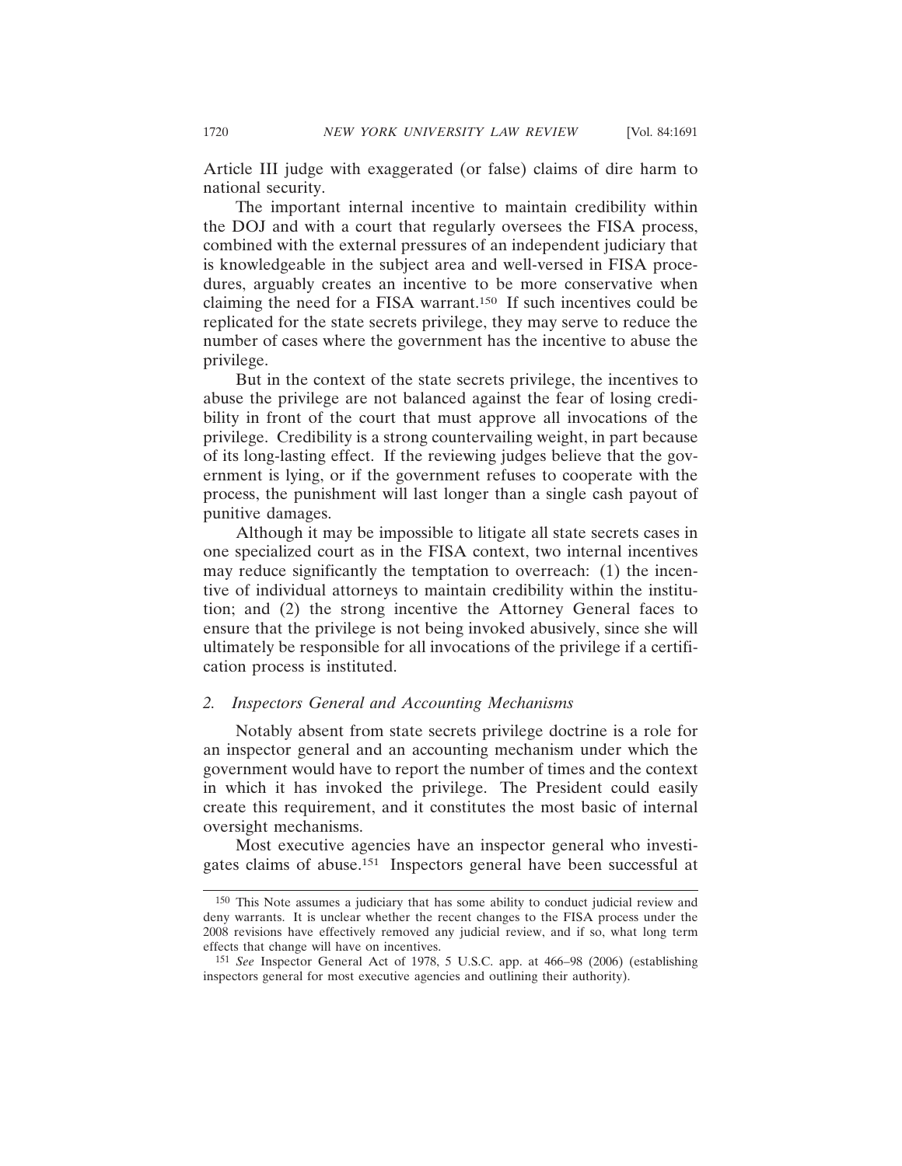Article III judge with exaggerated (or false) claims of dire harm to national security.

The important internal incentive to maintain credibility within the DOJ and with a court that regularly oversees the FISA process, combined with the external pressures of an independent judiciary that is knowledgeable in the subject area and well-versed in FISA procedures, arguably creates an incentive to be more conservative when claiming the need for a FISA warrant.150 If such incentives could be replicated for the state secrets privilege, they may serve to reduce the number of cases where the government has the incentive to abuse the privilege.

But in the context of the state secrets privilege, the incentives to abuse the privilege are not balanced against the fear of losing credibility in front of the court that must approve all invocations of the privilege. Credibility is a strong countervailing weight, in part because of its long-lasting effect. If the reviewing judges believe that the government is lying, or if the government refuses to cooperate with the process, the punishment will last longer than a single cash payout of punitive damages.

Although it may be impossible to litigate all state secrets cases in one specialized court as in the FISA context, two internal incentives may reduce significantly the temptation to overreach: (1) the incentive of individual attorneys to maintain credibility within the institution; and (2) the strong incentive the Attorney General faces to ensure that the privilege is not being invoked abusively, since she will ultimately be responsible for all invocations of the privilege if a certification process is instituted.

### *2. Inspectors General and Accounting Mechanisms*

Notably absent from state secrets privilege doctrine is a role for an inspector general and an accounting mechanism under which the government would have to report the number of times and the context in which it has invoked the privilege. The President could easily create this requirement, and it constitutes the most basic of internal oversight mechanisms.

Most executive agencies have an inspector general who investigates claims of abuse.151 Inspectors general have been successful at

<sup>150</sup> This Note assumes a judiciary that has some ability to conduct judicial review and deny warrants. It is unclear whether the recent changes to the FISA process under the 2008 revisions have effectively removed any judicial review, and if so, what long term effects that change will have on incentives.

<sup>151</sup> *See* Inspector General Act of 1978, 5 U.S.C. app. at 466–98 (2006) (establishing inspectors general for most executive agencies and outlining their authority).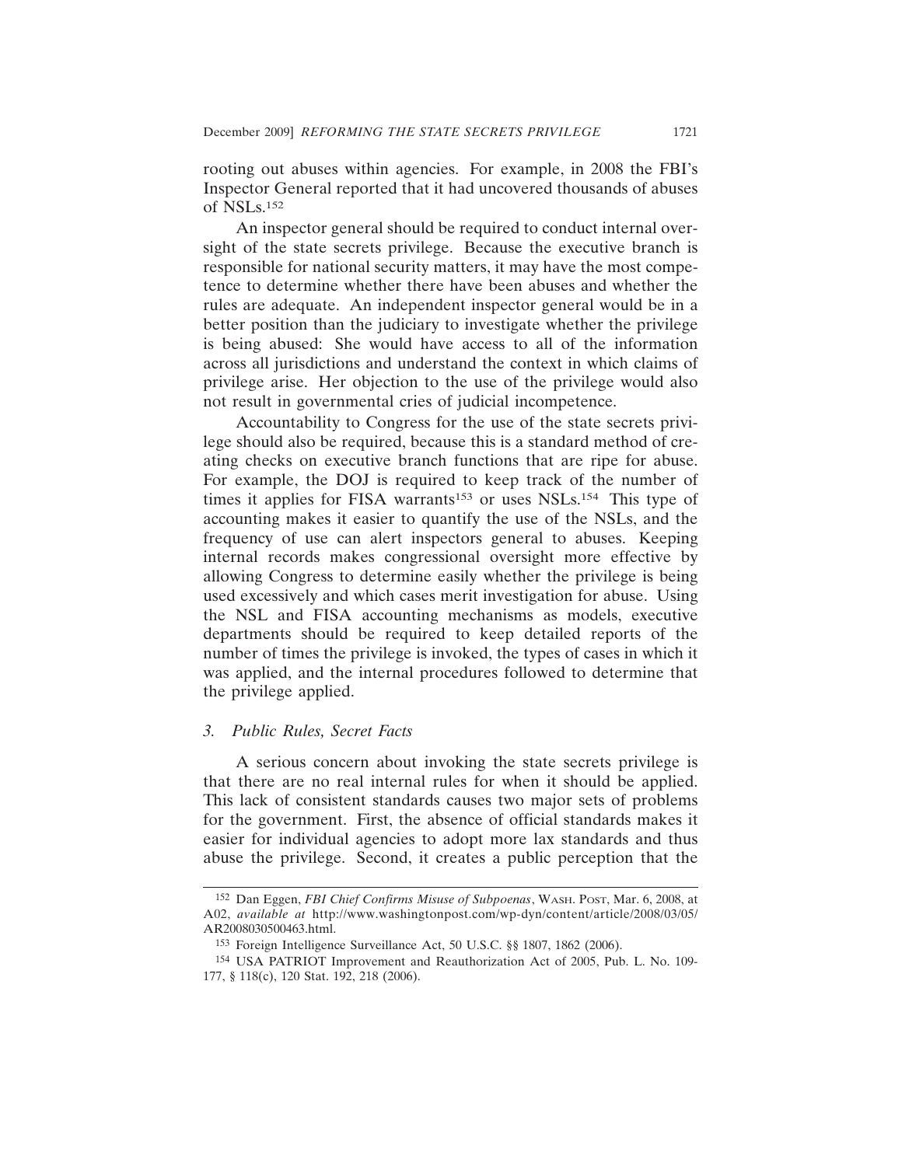rooting out abuses within agencies. For example, in 2008 the FBI's Inspector General reported that it had uncovered thousands of abuses of NSLs.152

An inspector general should be required to conduct internal oversight of the state secrets privilege. Because the executive branch is responsible for national security matters, it may have the most competence to determine whether there have been abuses and whether the rules are adequate. An independent inspector general would be in a better position than the judiciary to investigate whether the privilege is being abused: She would have access to all of the information across all jurisdictions and understand the context in which claims of privilege arise. Her objection to the use of the privilege would also not result in governmental cries of judicial incompetence.

Accountability to Congress for the use of the state secrets privilege should also be required, because this is a standard method of creating checks on executive branch functions that are ripe for abuse. For example, the DOJ is required to keep track of the number of times it applies for FISA warrants<sup>153</sup> or uses NSLs.<sup>154</sup> This type of accounting makes it easier to quantify the use of the NSLs, and the frequency of use can alert inspectors general to abuses. Keeping internal records makes congressional oversight more effective by allowing Congress to determine easily whether the privilege is being used excessively and which cases merit investigation for abuse. Using the NSL and FISA accounting mechanisms as models, executive departments should be required to keep detailed reports of the number of times the privilege is invoked, the types of cases in which it was applied, and the internal procedures followed to determine that the privilege applied.

#### *3. Public Rules, Secret Facts*

A serious concern about invoking the state secrets privilege is that there are no real internal rules for when it should be applied. This lack of consistent standards causes two major sets of problems for the government. First, the absence of official standards makes it easier for individual agencies to adopt more lax standards and thus abuse the privilege. Second, it creates a public perception that the

<sup>152</sup> Dan Eggen, *FBI Chief Confirms Misuse of Subpoenas*, WASH. POST, Mar. 6, 2008, at A02, *available at* http://www.washingtonpost.com/wp-dyn/content/article/2008/03/05/ AR2008030500463.html.

<sup>153</sup> Foreign Intelligence Surveillance Act, 50 U.S.C. §§ 1807, 1862 (2006).

<sup>154</sup> USA PATRIOT Improvement and Reauthorization Act of 2005, Pub. L. No. 109- 177, § 118(c), 120 Stat. 192, 218 (2006).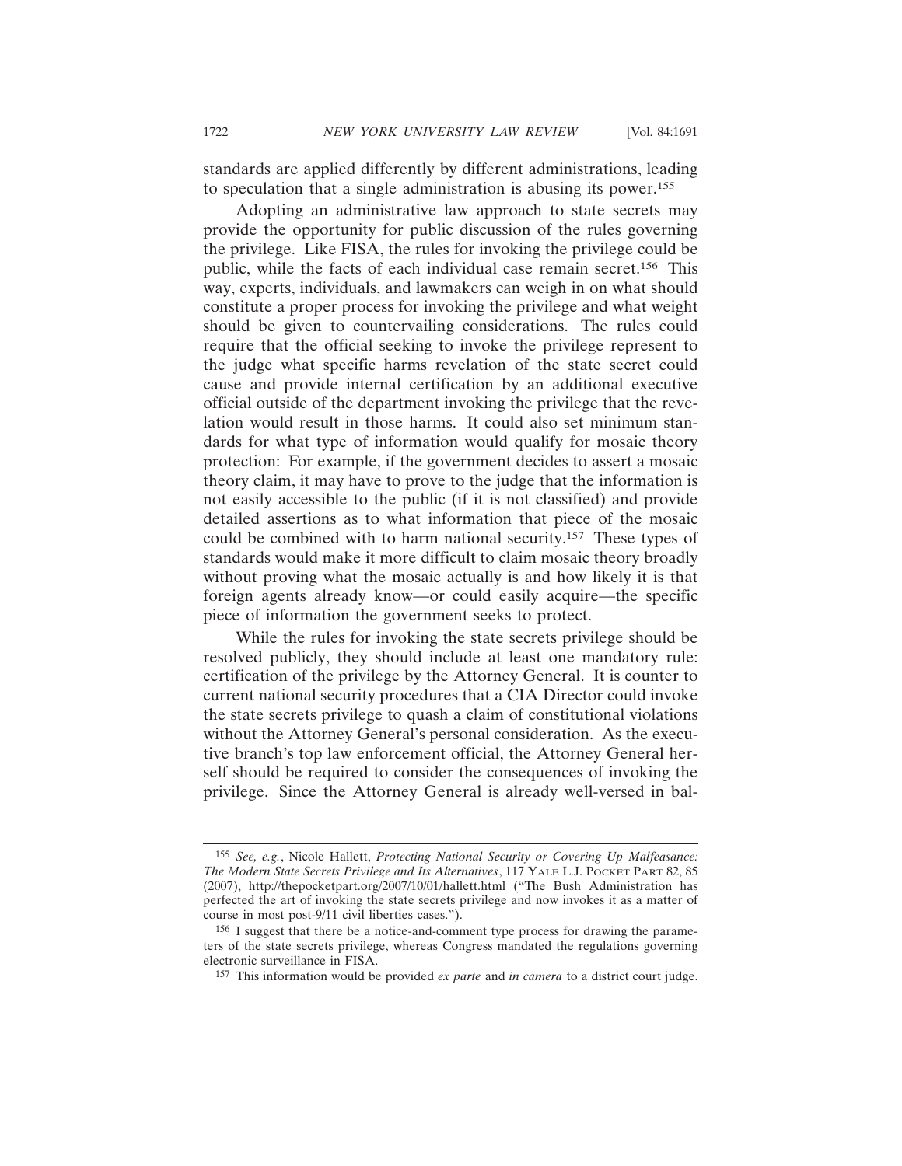standards are applied differently by different administrations, leading to speculation that a single administration is abusing its power.155

Adopting an administrative law approach to state secrets may provide the opportunity for public discussion of the rules governing the privilege. Like FISA, the rules for invoking the privilege could be public, while the facts of each individual case remain secret.156 This way, experts, individuals, and lawmakers can weigh in on what should constitute a proper process for invoking the privilege and what weight should be given to countervailing considerations. The rules could require that the official seeking to invoke the privilege represent to the judge what specific harms revelation of the state secret could cause and provide internal certification by an additional executive official outside of the department invoking the privilege that the revelation would result in those harms. It could also set minimum standards for what type of information would qualify for mosaic theory protection: For example, if the government decides to assert a mosaic theory claim, it may have to prove to the judge that the information is not easily accessible to the public (if it is not classified) and provide detailed assertions as to what information that piece of the mosaic could be combined with to harm national security.157 These types of standards would make it more difficult to claim mosaic theory broadly without proving what the mosaic actually is and how likely it is that foreign agents already know—or could easily acquire—the specific piece of information the government seeks to protect.

While the rules for invoking the state secrets privilege should be resolved publicly, they should include at least one mandatory rule: certification of the privilege by the Attorney General. It is counter to current national security procedures that a CIA Director could invoke the state secrets privilege to quash a claim of constitutional violations without the Attorney General's personal consideration. As the executive branch's top law enforcement official, the Attorney General herself should be required to consider the consequences of invoking the privilege. Since the Attorney General is already well-versed in bal-

<sup>155</sup> *See, e.g.*, Nicole Hallett, *Protecting National Security or Covering Up Malfeasance: The Modern State Secrets Privilege and Its Alternatives*, 117 YALE L.J. POCKET PART 82, 85 (2007), http://thepocketpart.org/2007/10/01/hallett.html ("The Bush Administration has perfected the art of invoking the state secrets privilege and now invokes it as a matter of course in most post-9/11 civil liberties cases.").

<sup>156</sup> I suggest that there be a notice-and-comment type process for drawing the parameters of the state secrets privilege, whereas Congress mandated the regulations governing electronic surveillance in FISA.

<sup>157</sup> This information would be provided *ex parte* and *in camera* to a district court judge.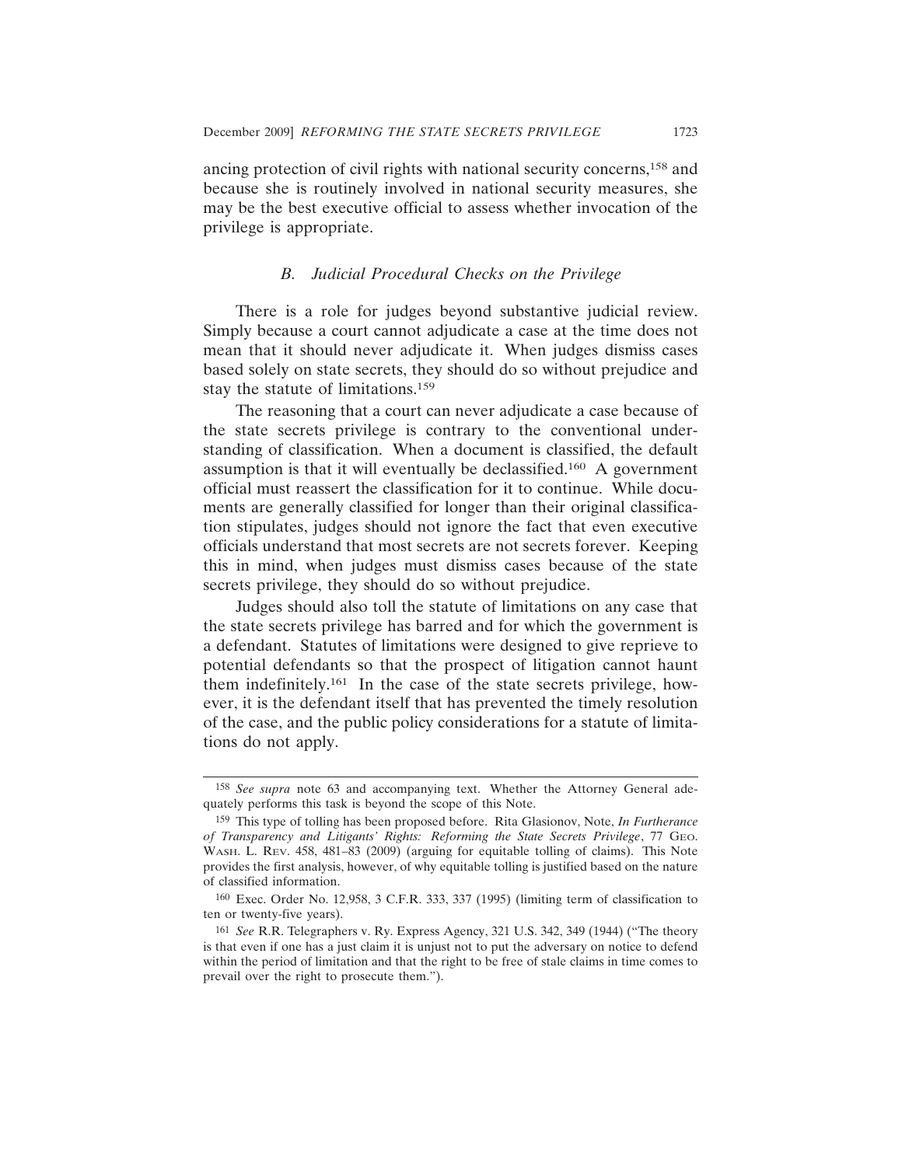ancing protection of civil rights with national security concerns,158 and because she is routinely involved in national security measures, she may be the best executive official to assess whether invocation of the privilege is appropriate.

### *B. Judicial Procedural Checks on the Privilege*

There is a role for judges beyond substantive judicial review. Simply because a court cannot adjudicate a case at the time does not mean that it should never adjudicate it. When judges dismiss cases based solely on state secrets, they should do so without prejudice and stay the statute of limitations.159

The reasoning that a court can never adjudicate a case because of the state secrets privilege is contrary to the conventional understanding of classification. When a document is classified, the default assumption is that it will eventually be declassified.160 A government official must reassert the classification for it to continue. While documents are generally classified for longer than their original classification stipulates, judges should not ignore the fact that even executive officials understand that most secrets are not secrets forever. Keeping this in mind, when judges must dismiss cases because of the state secrets privilege, they should do so without prejudice.

Judges should also toll the statute of limitations on any case that the state secrets privilege has barred and for which the government is a defendant. Statutes of limitations were designed to give reprieve to potential defendants so that the prospect of litigation cannot haunt them indefinitely.161 In the case of the state secrets privilege, however, it is the defendant itself that has prevented the timely resolution of the case, and the public policy considerations for a statute of limitations do not apply.

<sup>158</sup> *See supra* note 63 and accompanying text. Whether the Attorney General adequately performs this task is beyond the scope of this Note.

<sup>159</sup> This type of tolling has been proposed before. Rita Glasionov, Note, *In Furtherance of Transparency and Litigants' Rights: Reforming the State Secrets Privilege*, 77 GEO. WASH. L. REV. 458, 481–83 (2009) (arguing for equitable tolling of claims). This Note provides the first analysis, however, of why equitable tolling is justified based on the nature of classified information.

<sup>160</sup> Exec. Order No. 12,958, 3 C.F.R. 333, 337 (1995) (limiting term of classification to ten or twenty-five years).

<sup>161</sup> *See* R.R. Telegraphers v. Ry. Express Agency, 321 U.S. 342, 349 (1944) ("The theory is that even if one has a just claim it is unjust not to put the adversary on notice to defend within the period of limitation and that the right to be free of stale claims in time comes to prevail over the right to prosecute them.").